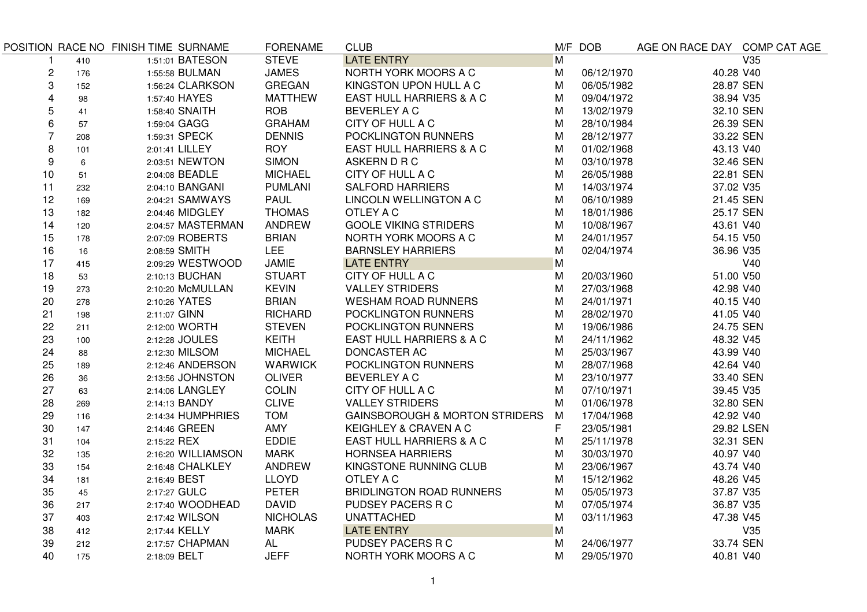|                         |     | POSITION RACE NO FINISH TIME SURNAME | <b>FORENAME</b> | <b>CLUB</b>                               |                | M/F DOB    | AGE ON RACE DAY COMP CAT AGE |                         |
|-------------------------|-----|--------------------------------------|-----------------|-------------------------------------------|----------------|------------|------------------------------|-------------------------|
|                         | 410 | 1:51:01 BATESON                      | <b>STEVE</b>    | <b>LATE ENTRY</b>                         | $\overline{M}$ |            |                              | $\overline{\text{V35}}$ |
| $\overline{\mathbf{c}}$ | 176 | 1:55:58 BULMAN                       | <b>JAMES</b>    | NORTH YORK MOORS A C                      | M              | 06/12/1970 | 40.28 V40                    |                         |
| 3                       | 152 | 1:56:24 CLARKSON                     | <b>GREGAN</b>   | KINGSTON UPON HULL A C                    | М              | 06/05/1982 | 28.87 SEN                    |                         |
| $\overline{\mathbf{4}}$ | 98  | 1:57:40 HAYES                        | <b>MATTHEW</b>  | EAST HULL HARRIERS & A C                  | M              | 09/04/1972 | 38.94 V35                    |                         |
| 5                       | 41  | 1:58:40 SNAITH                       | <b>ROB</b>      | <b>BEVERLEY A C</b>                       | M              | 13/02/1979 | 32.10 SEN                    |                         |
| 6                       | 57  | 1:59:04 GAGG                         | <b>GRAHAM</b>   | CITY OF HULL A C                          | M              | 28/10/1984 | 26.39 SEN                    |                         |
| $\overline{7}$          | 208 | 1:59:31 SPECK                        | <b>DENNIS</b>   | POCKLINGTON RUNNERS                       | M              | 28/12/1977 | 33.22 SEN                    |                         |
| 8                       | 101 | 2:01:41 LILLEY                       | <b>ROY</b>      | EAST HULL HARRIERS & A C                  | м              | 01/02/1968 | 43.13 V40                    |                         |
| 9                       | 6   | 2:03:51 NEWTON                       | <b>SIMON</b>    | ASKERN D R C                              | м              | 03/10/1978 | 32.46 SEN                    |                         |
| 10                      | 51  | 2:04:08 BEADLE                       | <b>MICHAEL</b>  | CITY OF HULL A C                          | M              | 26/05/1988 | 22.81 SEN                    |                         |
| 11                      | 232 | 2:04:10 BANGANI                      | <b>PUMLANI</b>  | <b>SALFORD HARRIERS</b>                   | M              | 14/03/1974 | 37.02 V35                    |                         |
| 12                      | 169 | 2:04:21 SAMWAYS                      | <b>PAUL</b>     | LINCOLN WELLINGTON A C                    | M              | 06/10/1989 | 21.45 SEN                    |                         |
| 13                      | 182 | 2:04:46 MIDGLEY                      | <b>THOMAS</b>   | OTLEY A C                                 | M              | 18/01/1986 | 25.17 SEN                    |                         |
| 14                      | 120 | 2:04:57 MASTERMAN                    | ANDREW          | <b>GOOLE VIKING STRIDERS</b>              | M              | 10/08/1967 | 43.61 V40                    |                         |
| 15                      | 178 | 2:07:09 ROBERTS                      | <b>BRIAN</b>    | NORTH YORK MOORS A C                      | M              | 24/01/1957 | 54.15 V50                    |                         |
| 16                      | 16  | 2:08:59 SMITH                        | <b>LEE</b>      | <b>BARNSLEY HARRIERS</b>                  | M              | 02/04/1974 | 36.96 V35                    |                         |
| 17                      | 415 | 2:09:29 WESTWOOD                     | JAMIE           | <b>LATE ENTRY</b>                         | M              |            |                              | V40                     |
| 18                      | 53  | 2:10:13 BUCHAN                       | <b>STUART</b>   | CITY OF HULL A C                          | M              | 20/03/1960 | 51.00 V50                    |                         |
| 19                      | 273 | 2:10:20 McMULLAN                     | <b>KEVIN</b>    | <b>VALLEY STRIDERS</b>                    | м              | 27/03/1968 | 42.98 V40                    |                         |
| 20                      | 278 | 2:10:26 YATES                        | <b>BRIAN</b>    | <b>WESHAM ROAD RUNNERS</b>                | м              | 24/01/1971 | 40.15 V40                    |                         |
| 21                      | 198 | 2:11:07 GINN                         | <b>RICHARD</b>  | POCKLINGTON RUNNERS                       | M              | 28/02/1970 | 41.05 V40                    |                         |
| 22                      | 211 | 2:12:00 WORTH                        | <b>STEVEN</b>   | POCKLINGTON RUNNERS                       | M              | 19/06/1986 | 24.75 SEN                    |                         |
| 23                      | 100 | 2:12:28 JOULES                       | <b>KEITH</b>    | EAST HULL HARRIERS & A C                  | M              | 24/11/1962 | 48.32 V45                    |                         |
| 24                      | 88  | 2:12:30 MILSOM                       | <b>MICHAEL</b>  | <b>DONCASTER AC</b>                       | м              | 25/03/1967 | 43.99 V40                    |                         |
| 25                      | 189 | 2:12:46 ANDERSON                     | WARWICK         | POCKLINGTON RUNNERS                       | M              | 28/07/1968 | 42.64 V40                    |                         |
| 26                      | 36  | 2:13:56 JOHNSTON                     | <b>OLIVER</b>   | <b>BEVERLEY A C</b>                       | M              | 23/10/1977 | 33.40 SEN                    |                         |
| 27                      | 63  | 2:14:06 LANGLEY                      | <b>COLIN</b>    | CITY OF HULL A C                          | M              | 07/10/1971 | 39.45 V35                    |                         |
| 28                      | 269 | 2:14:13 BANDY                        | <b>CLIVE</b>    | <b>VALLEY STRIDERS</b>                    | м              | 01/06/1978 | 32.80 SEN                    |                         |
| 29                      | 116 | 2:14:34 HUMPHRIES                    | <b>TOM</b>      | <b>GAINSBOROUGH &amp; MORTON STRIDERS</b> | M              | 17/04/1968 | 42.92 V40                    |                         |
| 30                      | 147 | 2:14:46 GREEN                        | AMY             | KEIGHLEY & CRAVEN A C                     | F              | 23/05/1981 |                              | 29.82 LSEN              |
| 31                      | 104 | 2:15:22 REX                          | <b>EDDIE</b>    | EAST HULL HARRIERS & A C                  | M              | 25/11/1978 | 32.31 SEN                    |                         |
| 32                      | 135 | 2:16:20 WILLIAMSON                   | <b>MARK</b>     | <b>HORNSEA HARRIERS</b>                   | м              | 30/03/1970 | 40.97 V40                    |                         |
| 33                      | 154 | 2:16:48 CHALKLEY                     | ANDREW          | KINGSTONE RUNNING CLUB                    | M              | 23/06/1967 | 43.74 V40                    |                         |
| 34                      | 181 | 2:16:49 BEST                         | <b>LLOYD</b>    | OTLEY A C                                 | M              | 15/12/1962 | 48.26 V45                    |                         |
| 35                      | 45  | 2:17:27 GULC                         | <b>PETER</b>    | <b>BRIDLINGTON ROAD RUNNERS</b>           | м              | 05/05/1973 | 37.87 V35                    |                         |
| 36                      | 217 | 2:17:40 WOODHEAD                     | <b>DAVID</b>    | PUDSEY PACERS R C                         | М              | 07/05/1974 | 36.87 V35                    |                         |
| 37                      | 403 | 2:17:42 WILSON                       | <b>NICHOLAS</b> | <b>UNATTACHED</b>                         | M              | 03/11/1963 | 47.38 V45                    |                         |
| 38                      | 412 | 2;17:44 KELLY                        | <b>MARK</b>     | <b>LATE ENTRY</b>                         | M              |            |                              | V35                     |
| 39                      | 212 | 2:17:57 CHAPMAN                      | AL              | PUDSEY PACERS R C                         | М              | 24/06/1977 | 33.74 SEN                    |                         |
| 40                      | 175 | 2:18:09 BELT                         | <b>JEFF</b>     | NORTH YORK MOORS A C                      | M              | 29/05/1970 | 40.81 V40                    |                         |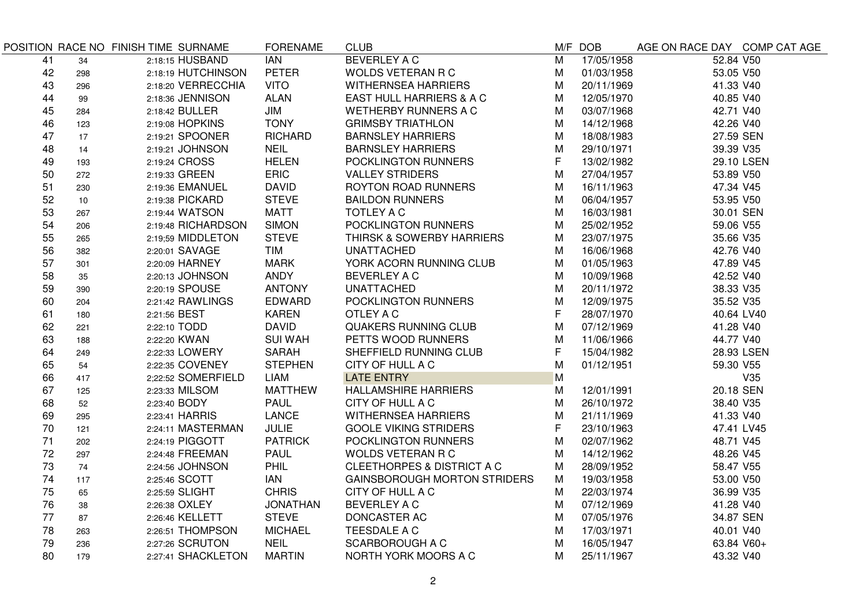|    |     | POSITION RACE NO FINISH TIME SURNAME | <b>FORENAME</b> | <b>CLUB</b>                           |                | M/F DOB    | AGE ON RACE DAY COMP CAT AGE |            |
|----|-----|--------------------------------------|-----------------|---------------------------------------|----------------|------------|------------------------------|------------|
| 41 | 34  | 2:18:15 HUSBAND                      | <b>IAN</b>      | <b>BEVERLEY A C</b>                   | $\overline{M}$ | 17/05/1958 | 52.84 V50                    |            |
| 42 | 298 | 2:18:19 HUTCHINSON                   | <b>PETER</b>    | <b>WOLDS VETERAN R C</b>              | M              | 01/03/1958 | 53.05 V50                    |            |
| 43 | 296 | 2:18:20 VERRECCHIA                   | <b>VITO</b>     | <b>WITHERNSEA HARRIERS</b>            | M              | 20/11/1969 | 41.33 V40                    |            |
| 44 | 99  | 2:18:36 JENNISON                     | <b>ALAN</b>     | EAST HULL HARRIERS & A C              | M              | 12/05/1970 | 40.85 V40                    |            |
| 45 | 284 | 2:18:42 BULLER                       | JIM             | <b>WETHERBY RUNNERS A C</b>           | M              | 03/07/1968 | 42.71 V40                    |            |
| 46 | 123 | 2:19:08 HOPKINS                      | <b>TONY</b>     | <b>GRIMSBY TRIATHLON</b>              | M              | 14/12/1968 | 42.26 V40                    |            |
| 47 | 17  | 2:19:21 SPOONER                      | <b>RICHARD</b>  | <b>BARNSLEY HARRIERS</b>              | M              | 18/08/1983 | 27.59 SEN                    |            |
| 48 | 14  | 2:19:21 JOHNSON                      | <b>NEIL</b>     | <b>BARNSLEY HARRIERS</b>              | M              | 29/10/1971 | 39.39 V35                    |            |
| 49 | 193 | 2:19:24 CROSS                        | <b>HELEN</b>    | POCKLINGTON RUNNERS                   | F              | 13/02/1982 |                              | 29.10 LSEN |
| 50 | 272 | 2:19:33 GREEN                        | <b>ERIC</b>     | <b>VALLEY STRIDERS</b>                | M              | 27/04/1957 | 53.89 V50                    |            |
| 51 | 230 | 2:19:36 EMANUEL                      | <b>DAVID</b>    | <b>ROYTON ROAD RUNNERS</b>            | M              | 16/11/1963 | 47.34 V45                    |            |
| 52 | 10  | 2:19:38 PICKARD                      | <b>STEVE</b>    | <b>BAILDON RUNNERS</b>                | M              | 06/04/1957 | 53.95 V50                    |            |
| 53 | 267 | 2:19:44 WATSON                       | <b>MATT</b>     | <b>TOTLEY A C</b>                     | M              | 16/03/1981 | 30.01 SEN                    |            |
| 54 | 206 | 2:19:48 RICHARDSON                   | <b>SIMON</b>    | POCKLINGTON RUNNERS                   | M              | 25/02/1952 | 59.06 V55                    |            |
| 55 | 265 | 2:19;59 MIDDLETON                    | <b>STEVE</b>    | THIRSK & SOWERBY HARRIERS             | M              | 23/07/1975 | 35.66 V35                    |            |
| 56 | 382 | 2:20:01 SAVAGE                       | <b>TIM</b>      | <b>UNATTACHED</b>                     | M              | 16/06/1968 | 42.76 V40                    |            |
| 57 | 301 | 2:20:09 HARNEY                       | <b>MARK</b>     | YORK ACORN RUNNING CLUB               | M              | 01/05/1963 | 47.89 V45                    |            |
| 58 | 35  | 2:20:13 JOHNSON                      | ANDY            | <b>BEVERLEY A C</b>                   | M              | 10/09/1968 | 42.52 V40                    |            |
| 59 | 390 | 2:20:19 SPOUSE                       | <b>ANTONY</b>   | <b>UNATTACHED</b>                     | M              | 20/11/1972 | 38.33 V35                    |            |
| 60 | 204 | 2:21:42 RAWLINGS                     | EDWARD          | POCKLINGTON RUNNERS                   | M              | 12/09/1975 | 35.52 V35                    |            |
| 61 | 180 | 2:21:56 BEST                         | <b>KAREN</b>    | OTLEY A C                             | F              | 28/07/1970 | 40.64 LV40                   |            |
| 62 | 221 | 2:22:10 TODD                         | <b>DAVID</b>    | <b>QUAKERS RUNNING CLUB</b>           | M              | 07/12/1969 | 41.28 V40                    |            |
| 63 | 188 | 2:22:20 KWAN                         | <b>SUI WAH</b>  | PETTS WOOD RUNNERS                    | M              | 11/06/1966 | 44.77 V40                    |            |
| 64 | 249 | 2:22:33 LOWERY                       | <b>SARAH</b>    | SHEFFIELD RUNNING CLUB                | F              | 15/04/1982 |                              | 28.93 LSEN |
| 65 | 54  | 2:22:35 COVENEY                      | <b>STEPHEN</b>  | CITY OF HULL A C                      | M              | 01/12/1951 | 59.30 V55                    |            |
| 66 | 417 | 2;22:52 SOMERFIELD                   | LIAM            | <b>LATE ENTRY</b>                     | M              |            |                              | V35        |
| 67 | 125 | 2:23:33 MILSOM                       | <b>MATTHEW</b>  | <b>HALLAMSHIRE HARRIERS</b>           | M              | 12/01/1991 | 20.18 SEN                    |            |
| 68 | 52  | 2:23:40 BODY                         | <b>PAUL</b>     | CITY OF HULL A C                      | M              | 26/10/1972 | 38.40 V35                    |            |
| 69 | 295 | 2:23:41 HARRIS                       | LANCE           | <b>WITHERNSEA HARRIERS</b>            | M              | 21/11/1969 | 41.33 V40                    |            |
| 70 | 121 | 2:24:11 MASTERMAN                    | <b>JULIE</b>    | <b>GOOLE VIKING STRIDERS</b>          | F              | 23/10/1963 | 47.41 LV45                   |            |
| 71 | 202 | 2:24:19 PIGGOTT                      | <b>PATRICK</b>  | POCKLINGTON RUNNERS                   | M              | 02/07/1962 | 48.71 V45                    |            |
| 72 | 297 | 2:24:48 FREEMAN                      | <b>PAUL</b>     | <b>WOLDS VETERAN R C</b>              | M              | 14/12/1962 | 48.26 V45                    |            |
| 73 | 74  | 2:24:56 JOHNSON                      | <b>PHIL</b>     | <b>CLEETHORPES &amp; DISTRICT A C</b> | M              | 28/09/1952 | 58.47 V55                    |            |
| 74 | 117 | 2:25:46 SCOTT                        | <b>IAN</b>      | <b>GAINSBOROUGH MORTON STRIDERS</b>   | М              | 19/03/1958 | 53.00 V50                    |            |
| 75 | 65  | 2:25:59 SLIGHT                       | <b>CHRIS</b>    | CITY OF HULL A C                      | м              | 22/03/1974 | 36.99 V35                    |            |
| 76 | 38  | 2:26:38 OXLEY                        | <b>JONATHAN</b> | <b>BEVERLEY A C</b>                   | м              | 07/12/1969 | 41.28 V40                    |            |
| 77 | 87  | 2:26:46 KELLETT                      | <b>STEVE</b>    | DONCASTER AC                          | M              | 07/05/1976 | 34.87 SEN                    |            |
| 78 | 263 | 2:26:51 THOMPSON                     | <b>MICHAEL</b>  | TEESDALE A C                          | M              | 17/03/1971 | 40.01 V40                    |            |
| 79 | 236 | 2:27:26 SCRUTON                      | <b>NEIL</b>     | <b>SCARBOROUGH A C</b>                | M              | 16/05/1947 | 63.84 V60+                   |            |
| 80 | 179 | 2:27:41 SHACKLETON                   | <b>MARTIN</b>   | NORTH YORK MOORS A C                  | M              | 25/11/1967 | 43.32 V40                    |            |
|    |     |                                      |                 |                                       |                |            |                              |            |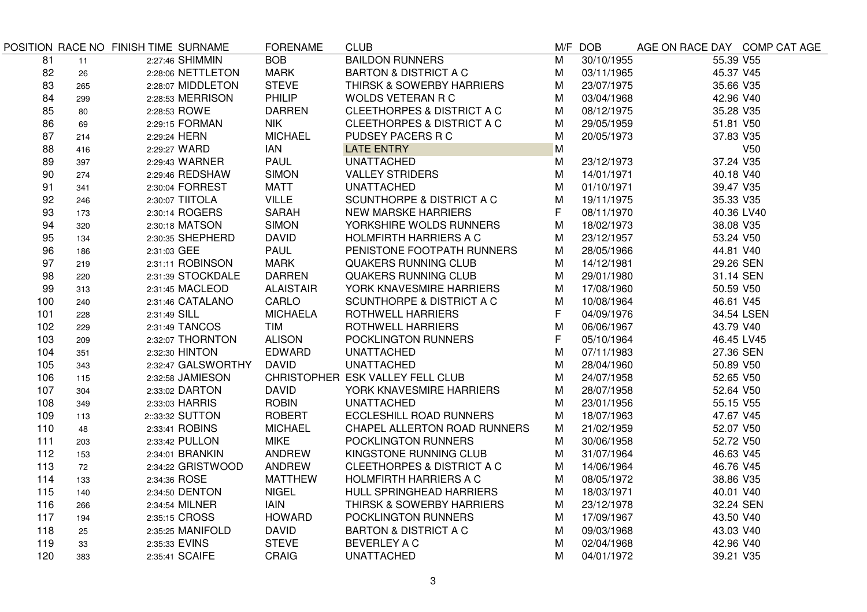|     |     | POSITION RACE NO FINISH TIME SURNAME | <b>FORENAME</b>  | <b>CLUB</b>                          |                | M/F DOB    | AGE ON RACE DAY COMP CAT AGE |            |
|-----|-----|--------------------------------------|------------------|--------------------------------------|----------------|------------|------------------------------|------------|
| 81  | 11  | 2:27:46 SHIMMIN                      | <b>BOB</b>       | <b>BAILDON RUNNERS</b>               | $\overline{M}$ | 30/10/1955 | 55.39 V55                    |            |
| 82  | 26  | 2:28:06 NETTLETON                    | <b>MARK</b>      | <b>BARTON &amp; DISTRICT A C</b>     | M              | 03/11/1965 | 45.37 V45                    |            |
| 83  | 265 | 2:28:07 MIDDLETON                    | <b>STEVE</b>     | THIRSK & SOWERBY HARRIERS            | M              | 23/07/1975 | 35.66 V35                    |            |
| 84  | 299 | 2:28:53 MERRISON                     | PHILIP           | <b>WOLDS VETERAN R C</b>             | Μ              | 03/04/1968 | 42.96 V40                    |            |
| 85  | 80  | 2:28:53 ROWE                         | <b>DARREN</b>    | CLEETHORPES & DISTRICT A C           | Μ              | 08/12/1975 | 35.28 V35                    |            |
| 86  | 69  | 2:29:15 FORMAN                       | <b>NIK</b>       | CLEETHORPES & DISTRICT A C           | Μ              | 29/05/1959 | 51.81 V50                    |            |
| 87  | 214 | 2:29:24 HERN                         | <b>MICHAEL</b>   | PUDSEY PACERS R C                    | M              | 20/05/1973 | 37.83 V35                    |            |
| 88  | 416 | 2:29:27 WARD                         | <b>IAN</b>       | <b>LATE ENTRY</b>                    | M              |            |                              | V50        |
| 89  | 397 | 2:29:43 WARNER                       | <b>PAUL</b>      | <b>UNATTACHED</b>                    | Μ              | 23/12/1973 | 37.24 V35                    |            |
| 90  | 274 | 2:29:46 REDSHAW                      | <b>SIMON</b>     | <b>VALLEY STRIDERS</b>               | M              | 14/01/1971 | 40.18 V40                    |            |
| 91  | 341 | 2:30:04 FORREST                      | <b>MATT</b>      | <b>UNATTACHED</b>                    | M              | 01/10/1971 | 39.47 V35                    |            |
| 92  | 246 | 2:30:07 TIITOLA                      | <b>VILLE</b>     | <b>SCUNTHORPE &amp; DISTRICT A C</b> | M              | 19/11/1975 | 35.33 V35                    |            |
| 93  | 173 | 2:30:14 ROGERS                       | <b>SARAH</b>     | <b>NEW MARSKE HARRIERS</b>           | F              | 08/11/1970 | 40.36 LV40                   |            |
| 94  | 320 | 2:30:18 MATSON                       | <b>SIMON</b>     | YORKSHIRE WOLDS RUNNERS              | M              | 18/02/1973 | 38.08 V35                    |            |
| 95  | 134 | 2:30:35 SHEPHERD                     | <b>DAVID</b>     | <b>HOLMFIRTH HARRIERS A C</b>        | Μ              | 23/12/1957 | 53.24 V50                    |            |
| 96  | 186 | 2:31:03 GEE                          | <b>PAUL</b>      | PENISTONE FOOTPATH RUNNERS           | M              | 28/05/1966 | 44.81 V40                    |            |
| 97  | 219 | 2:31:11 ROBINSON                     | <b>MARK</b>      | QUAKERS RUNNING CLUB                 | M              | 14/12/1981 | 29.26 SEN                    |            |
| 98  | 220 | 2:31:39 STOCKDALE                    | <b>DARREN</b>    | QUAKERS RUNNING CLUB                 | M              | 29/01/1980 | 31.14 SEN                    |            |
| 99  | 313 | 2:31:45 MACLEOD                      | <b>ALAISTAIR</b> | YORK KNAVESMIRE HARRIERS             | М              | 17/08/1960 | 50.59 V50                    |            |
| 100 | 240 | 2:31:46 CATALANO                     | CARLO            | <b>SCUNTHORPE &amp; DISTRICT A C</b> | M              | 10/08/1964 | 46.61 V45                    |            |
| 101 | 228 | 2:31:49 SILL                         | <b>MICHAELA</b>  | <b>ROTHWELL HARRIERS</b>             | F.             | 04/09/1976 |                              | 34.54 LSEN |
| 102 | 229 | 2:31:49 TANCOS                       | <b>TIM</b>       | <b>ROTHWELL HARRIERS</b>             | M              | 06/06/1967 | 43.79 V40                    |            |
| 103 | 209 | 2:32:07 THORNTON                     | <b>ALISON</b>    | POCKLINGTON RUNNERS                  | F              | 05/10/1964 | 46.45 LV45                   |            |
| 104 | 351 | 2:32:30 HINTON                       | <b>EDWARD</b>    | <b>UNATTACHED</b>                    | М              | 07/11/1983 | 27.36 SEN                    |            |
| 105 | 343 | 2:32:47 GALSWORTHY                   | <b>DAVID</b>     | <b>UNATTACHED</b>                    | M              | 28/04/1960 | 50.89 V50                    |            |
| 106 | 115 | 2:32:58 JAMIESON                     |                  | CHRISTOPHER ESK VALLEY FELL CLUB     | Μ              | 24/07/1958 | 52.65 V50                    |            |
| 107 | 304 | 2:33:02 DARTON                       | <b>DAVID</b>     | YORK KNAVESMIRE HARRIERS             | Μ              | 28/07/1958 | 52.64 V50                    |            |
| 108 | 349 | 2:33:03 HARRIS                       | <b>ROBIN</b>     | <b>UNATTACHED</b>                    | Μ              | 23/01/1956 | 55.15 V55                    |            |
| 109 | 113 | 2::33:32 SUTTON                      | <b>ROBERT</b>    | <b>ECCLESHILL ROAD RUNNERS</b>       | Μ              | 18/07/1963 | 47.67 V45                    |            |
| 110 | 48  | 2:33:41 ROBINS                       | <b>MICHAEL</b>   | CHAPEL ALLERTON ROAD RUNNERS         | м              | 21/02/1959 | 52.07 V50                    |            |
| 111 | 203 | 2:33:42 PULLON                       | <b>MIKE</b>      | POCKLINGTON RUNNERS                  | М              | 30/06/1958 | 52.72 V50                    |            |
| 112 | 153 | 2:34:01 BRANKIN                      | <b>ANDREW</b>    | KINGSTONE RUNNING CLUB               | Μ              | 31/07/1964 | 46.63 V45                    |            |
| 113 | 72  | 2:34:22 GRISTWOOD                    | <b>ANDREW</b>    | CLEETHORPES & DISTRICT A C           | Μ              | 14/06/1964 | 46.76 V45                    |            |
| 114 | 133 | 2:34:36 ROSE                         | <b>MATTHEW</b>   | <b>HOLMFIRTH HARRIERS A C</b>        | M              | 08/05/1972 | 38.86 V35                    |            |
| 115 | 140 | 2:34:50 DENTON                       | <b>NIGEL</b>     | HULL SPRINGHEAD HARRIERS             | M              | 18/03/1971 | 40.01 V40                    |            |
| 116 | 266 | 2:34:54 MILNER                       | <b>IAIN</b>      | THIRSK & SOWERBY HARRIERS            | м              | 23/12/1978 | 32.24 SEN                    |            |
| 117 | 194 | 2:35:15 CROSS                        | <b>HOWARD</b>    | POCKLINGTON RUNNERS                  | M              | 17/09/1967 | 43.50 V40                    |            |
| 118 | 25  | 2:35:25 MANIFOLD                     | <b>DAVID</b>     | <b>BARTON &amp; DISTRICT A C</b>     | M              | 09/03/1968 | 43.03 V40                    |            |
| 119 | 33  | 2:35:33 EVINS                        | <b>STEVE</b>     | BEVERLEY A C                         | M              | 02/04/1968 | 42.96 V40                    |            |
| 120 | 383 | 2:35:41 SCAIFE                       | <b>CRAIG</b>     | <b>UNATTACHED</b>                    | M              | 04/01/1972 | 39.21 V35                    |            |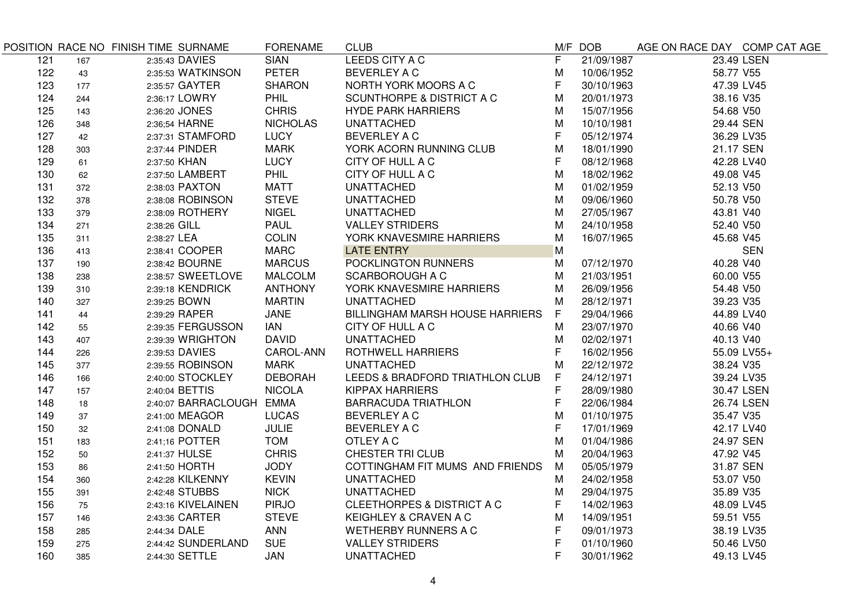| $\overline{\mathsf{F}}$<br><b>SIAN</b><br>21/09/1987<br>23.49 LSEN<br>121<br>2:35:43 DAVIES<br>167<br><b>PETER</b><br>122<br>2:35:53 WATKINSON<br><b>BEVERLEY A C</b><br>58.77 V55<br>Μ<br>10/06/1952<br>43<br><b>SHARON</b><br>NORTH YORK MOORS A C<br>F<br>123<br>2:35:57 GAYTER<br>30/10/1963<br>47.39 LV45<br>177<br>M<br>124<br>2:36:17 LOWRY<br>PHIL<br><b>SCUNTHORPE &amp; DISTRICT A C</b><br>20/01/1973<br>38.16 V35<br>244<br>125<br><b>CHRIS</b><br><b>HYDE PARK HARRIERS</b><br>M<br>15/07/1956<br>54.68 V50<br>2:36:20 JONES<br>143<br><b>NICHOLAS</b><br>M<br>126<br>2:36;54 HARNE<br><b>UNATTACHED</b><br>10/10/1981<br>29.44 SEN<br>348<br><b>LUCY</b><br><b>BEVERLEY A C</b><br>F<br>127<br>2:37:31 STAMFORD<br>05/12/1974<br>36.29 LV35<br>42<br>128<br>2:37:44 PINDER<br><b>MARK</b><br>YORK ACORN RUNNING CLUB<br>M<br>18/01/1990<br>21.17 SEN<br>303<br>F<br>129<br>LUCY<br>CITY OF HULL A C<br>08/12/1968<br>42.28 LV40<br>2:37:50 KHAN<br>61<br>130<br>2:37:50 LAMBERT<br><b>PHIL</b><br>CITY OF HULL A C<br>M<br>18/02/1962<br>49.08 V45<br>62<br><b>MATT</b><br>52.13 V50<br>131<br>2:38:03 PAXTON<br><b>UNATTACHED</b><br>M<br>01/02/1959<br>372<br><b>STEVE</b><br>M<br>132<br>2:38:08 ROBINSON<br><b>UNATTACHED</b><br>09/06/1960<br>50.78 V50<br>378<br>133<br><b>NIGEL</b><br><b>UNATTACHED</b><br>M<br>27/05/1967<br>43.81 V40<br>2:38:09 ROTHERY<br>379<br><b>PAUL</b><br><b>VALLEY STRIDERS</b><br>M<br>24/10/1958<br>52.40 V50<br>134<br>2:38:26 GILL<br>271<br><b>COLIN</b><br>YORK KNAVESMIRE HARRIERS<br>M<br>45.68 V45<br>135<br>2:38:27 LEA<br>16/07/1965<br>311<br><b>MARC</b><br>M<br>136<br>2:38:41 COOPER<br><b>LATE ENTRY</b><br><b>SEN</b><br>413<br>137<br>2:38:42 BOURNE<br><b>MARCUS</b><br>POCKLINGTON RUNNERS<br>M<br>07/12/1970<br>40.28 V40<br>190<br>138<br>2:38:57 SWEETLOVE<br><b>MALCOLM</b><br><b>SCARBOROUGH A C</b><br>M<br>21/03/1951<br>60.00 V55<br>238<br>2:39:18 KENDRICK<br><b>ANTHONY</b><br>YORK KNAVESMIRE HARRIERS<br>54.48 V50<br>139<br>М<br>26/09/1956<br>310<br>140<br>2:39:25 BOWN<br><b>MARTIN</b><br><b>UNATTACHED</b><br>М<br>28/12/1971<br>39.23 V35<br>327<br>F.<br>141<br>2:39:29 RAPER<br><b>JANE</b><br>BILLINGHAM MARSH HOUSE HARRIERS<br>29/04/1966<br>44.89 LV40<br>44<br>142<br><b>IAN</b><br>23/07/1970<br>40.66 V40<br>2:39:35 FERGUSSON<br>CITY OF HULL A C<br>М<br>55<br>143<br>2:39:39 WRIGHTON<br><b>DAVID</b><br><b>UNATTACHED</b><br>M<br>02/02/1971<br>40.13 V40<br>407<br>CAROL-ANN<br><b>ROTHWELL HARRIERS</b><br>F<br>144<br>2:39:53 DAVIES<br>16/02/1956<br>55.09 LV55+<br>226<br>M<br>145<br>2:39:55 ROBINSON<br><b>MARK</b><br><b>UNATTACHED</b><br>22/12/1972<br>38.24 V35<br>377<br><b>DEBORAH</b><br>F<br>146<br>2:40:00 STOCKLEY<br>LEEDS & BRADFORD TRIATHLON CLUB<br>24/12/1971<br>39.24 LV35<br>166<br><b>NICOLA</b><br>F<br>147<br>2:40:04 BETTIS<br><b>KIPPAX HARRIERS</b><br>28/09/1980<br>30.47 LSEN<br>157<br>2:40:07 BARRACLOUGH EMMA<br>F<br>148<br><b>BARRACUDA TRIATHLON</b><br>22/06/1984<br>26.74 LSEN<br>18<br>149<br>2:41:00 MEAGOR<br><b>LUCAS</b><br><b>BEVERLEY A C</b><br>М<br>01/10/1975<br>35.47 V35<br>37<br>F<br>150<br>2:41:08 DONALD<br><b>JULIE</b><br>BEVERLEY A C<br>17/01/1969<br>42.17 LV40<br>32<br>151<br>2:41;16 POTTER<br><b>TOM</b><br>OTLEY A C<br>М<br>01/04/1986<br>24.97 SEN<br>183<br><b>CHRIS</b><br><b>CHESTER TRI CLUB</b><br>152<br>2:41:37 HULSE<br>M<br>20/04/1963<br>47.92 V45<br>50<br>153<br><b>JODY</b><br>31.87 SEN<br>2:41:50 HORTH<br>COTTINGHAM FIT MUMS AND FRIENDS<br>M<br>05/05/1979<br>86<br><b>KEVIN</b><br>154<br>2:42:28 KILKENNY<br><b>UNATTACHED</b><br>M<br>24/02/1958<br>53.07 V50<br>360<br><b>NICK</b><br>155<br>2:42:48 STUBBS<br><b>UNATTACHED</b><br>29/04/1975<br>35.89 V35<br>Μ<br>391<br>156<br><b>PIRJO</b><br>CLEETHORPES & DISTRICT A C<br>F<br>2:43:16 KIVELAINEN<br>14/02/1963<br>48.09 LV45<br>75<br><b>STEVE</b><br>157<br>KEIGHLEY & CRAVEN A C<br>M<br>14/09/1951<br>59.51 V55<br>2:43:36 CARTER<br>146<br>F<br>158<br>2:44:34 DALE<br><b>ANN</b><br><b>WETHERBY RUNNERS A C</b><br>09/01/1973<br>38.19 LV35<br>285<br>F<br><b>SUE</b><br>159<br><b>VALLEY STRIDERS</b><br>2:44:42 SUNDERLAND<br>01/10/1960<br>50.46 LV50<br>275<br>F<br><b>UNATTACHED</b><br>160<br>2:44:30 SETTLE<br>JAN<br>30/01/1962<br>49.13 LV45<br>385 |  | POSITION RACE NO FINISH TIME SURNAME | <b>FORENAME</b> | <b>CLUB</b>           | M/F DOB | AGE ON RACE DAY COMP CAT AGE |  |
|---------------------------------------------------------------------------------------------------------------------------------------------------------------------------------------------------------------------------------------------------------------------------------------------------------------------------------------------------------------------------------------------------------------------------------------------------------------------------------------------------------------------------------------------------------------------------------------------------------------------------------------------------------------------------------------------------------------------------------------------------------------------------------------------------------------------------------------------------------------------------------------------------------------------------------------------------------------------------------------------------------------------------------------------------------------------------------------------------------------------------------------------------------------------------------------------------------------------------------------------------------------------------------------------------------------------------------------------------------------------------------------------------------------------------------------------------------------------------------------------------------------------------------------------------------------------------------------------------------------------------------------------------------------------------------------------------------------------------------------------------------------------------------------------------------------------------------------------------------------------------------------------------------------------------------------------------------------------------------------------------------------------------------------------------------------------------------------------------------------------------------------------------------------------------------------------------------------------------------------------------------------------------------------------------------------------------------------------------------------------------------------------------------------------------------------------------------------------------------------------------------------------------------------------------------------------------------------------------------------------------------------------------------------------------------------------------------------------------------------------------------------------------------------------------------------------------------------------------------------------------------------------------------------------------------------------------------------------------------------------------------------------------------------------------------------------------------------------------------------------------------------------------------------------------------------------------------------------------------------------------------------------------------------------------------------------------------------------------------------------------------------------------------------------------------------------------------------------------------------------------------------------------------------------------------------------------------------------------------------------------------------------------------------------------------------------------------------------------------------------------------------------------------------------------------------------------------------------------------------------------------------------------------------------------------------------------------------------------------------------------------------------------------------------------------------------------------------------------------------------------------------------------------------------------------------------------------------------------------------------------------------------------------------------------------------------------|--|--------------------------------------|-----------------|-----------------------|---------|------------------------------|--|
|                                                                                                                                                                                                                                                                                                                                                                                                                                                                                                                                                                                                                                                                                                                                                                                                                                                                                                                                                                                                                                                                                                                                                                                                                                                                                                                                                                                                                                                                                                                                                                                                                                                                                                                                                                                                                                                                                                                                                                                                                                                                                                                                                                                                                                                                                                                                                                                                                                                                                                                                                                                                                                                                                                                                                                                                                                                                                                                                                                                                                                                                                                                                                                                                                                                                                                                                                                                                                                                                                                                                                                                                                                                                                                                                                                                                                                                                                                                                                                                                                                                                                                                                                                                                                                                                                                                           |  |                                      |                 | <b>LEEDS CITY A C</b> |         |                              |  |
|                                                                                                                                                                                                                                                                                                                                                                                                                                                                                                                                                                                                                                                                                                                                                                                                                                                                                                                                                                                                                                                                                                                                                                                                                                                                                                                                                                                                                                                                                                                                                                                                                                                                                                                                                                                                                                                                                                                                                                                                                                                                                                                                                                                                                                                                                                                                                                                                                                                                                                                                                                                                                                                                                                                                                                                                                                                                                                                                                                                                                                                                                                                                                                                                                                                                                                                                                                                                                                                                                                                                                                                                                                                                                                                                                                                                                                                                                                                                                                                                                                                                                                                                                                                                                                                                                                                           |  |                                      |                 |                       |         |                              |  |
|                                                                                                                                                                                                                                                                                                                                                                                                                                                                                                                                                                                                                                                                                                                                                                                                                                                                                                                                                                                                                                                                                                                                                                                                                                                                                                                                                                                                                                                                                                                                                                                                                                                                                                                                                                                                                                                                                                                                                                                                                                                                                                                                                                                                                                                                                                                                                                                                                                                                                                                                                                                                                                                                                                                                                                                                                                                                                                                                                                                                                                                                                                                                                                                                                                                                                                                                                                                                                                                                                                                                                                                                                                                                                                                                                                                                                                                                                                                                                                                                                                                                                                                                                                                                                                                                                                                           |  |                                      |                 |                       |         |                              |  |
|                                                                                                                                                                                                                                                                                                                                                                                                                                                                                                                                                                                                                                                                                                                                                                                                                                                                                                                                                                                                                                                                                                                                                                                                                                                                                                                                                                                                                                                                                                                                                                                                                                                                                                                                                                                                                                                                                                                                                                                                                                                                                                                                                                                                                                                                                                                                                                                                                                                                                                                                                                                                                                                                                                                                                                                                                                                                                                                                                                                                                                                                                                                                                                                                                                                                                                                                                                                                                                                                                                                                                                                                                                                                                                                                                                                                                                                                                                                                                                                                                                                                                                                                                                                                                                                                                                                           |  |                                      |                 |                       |         |                              |  |
|                                                                                                                                                                                                                                                                                                                                                                                                                                                                                                                                                                                                                                                                                                                                                                                                                                                                                                                                                                                                                                                                                                                                                                                                                                                                                                                                                                                                                                                                                                                                                                                                                                                                                                                                                                                                                                                                                                                                                                                                                                                                                                                                                                                                                                                                                                                                                                                                                                                                                                                                                                                                                                                                                                                                                                                                                                                                                                                                                                                                                                                                                                                                                                                                                                                                                                                                                                                                                                                                                                                                                                                                                                                                                                                                                                                                                                                                                                                                                                                                                                                                                                                                                                                                                                                                                                                           |  |                                      |                 |                       |         |                              |  |
|                                                                                                                                                                                                                                                                                                                                                                                                                                                                                                                                                                                                                                                                                                                                                                                                                                                                                                                                                                                                                                                                                                                                                                                                                                                                                                                                                                                                                                                                                                                                                                                                                                                                                                                                                                                                                                                                                                                                                                                                                                                                                                                                                                                                                                                                                                                                                                                                                                                                                                                                                                                                                                                                                                                                                                                                                                                                                                                                                                                                                                                                                                                                                                                                                                                                                                                                                                                                                                                                                                                                                                                                                                                                                                                                                                                                                                                                                                                                                                                                                                                                                                                                                                                                                                                                                                                           |  |                                      |                 |                       |         |                              |  |
|                                                                                                                                                                                                                                                                                                                                                                                                                                                                                                                                                                                                                                                                                                                                                                                                                                                                                                                                                                                                                                                                                                                                                                                                                                                                                                                                                                                                                                                                                                                                                                                                                                                                                                                                                                                                                                                                                                                                                                                                                                                                                                                                                                                                                                                                                                                                                                                                                                                                                                                                                                                                                                                                                                                                                                                                                                                                                                                                                                                                                                                                                                                                                                                                                                                                                                                                                                                                                                                                                                                                                                                                                                                                                                                                                                                                                                                                                                                                                                                                                                                                                                                                                                                                                                                                                                                           |  |                                      |                 |                       |         |                              |  |
|                                                                                                                                                                                                                                                                                                                                                                                                                                                                                                                                                                                                                                                                                                                                                                                                                                                                                                                                                                                                                                                                                                                                                                                                                                                                                                                                                                                                                                                                                                                                                                                                                                                                                                                                                                                                                                                                                                                                                                                                                                                                                                                                                                                                                                                                                                                                                                                                                                                                                                                                                                                                                                                                                                                                                                                                                                                                                                                                                                                                                                                                                                                                                                                                                                                                                                                                                                                                                                                                                                                                                                                                                                                                                                                                                                                                                                                                                                                                                                                                                                                                                                                                                                                                                                                                                                                           |  |                                      |                 |                       |         |                              |  |
|                                                                                                                                                                                                                                                                                                                                                                                                                                                                                                                                                                                                                                                                                                                                                                                                                                                                                                                                                                                                                                                                                                                                                                                                                                                                                                                                                                                                                                                                                                                                                                                                                                                                                                                                                                                                                                                                                                                                                                                                                                                                                                                                                                                                                                                                                                                                                                                                                                                                                                                                                                                                                                                                                                                                                                                                                                                                                                                                                                                                                                                                                                                                                                                                                                                                                                                                                                                                                                                                                                                                                                                                                                                                                                                                                                                                                                                                                                                                                                                                                                                                                                                                                                                                                                                                                                                           |  |                                      |                 |                       |         |                              |  |
|                                                                                                                                                                                                                                                                                                                                                                                                                                                                                                                                                                                                                                                                                                                                                                                                                                                                                                                                                                                                                                                                                                                                                                                                                                                                                                                                                                                                                                                                                                                                                                                                                                                                                                                                                                                                                                                                                                                                                                                                                                                                                                                                                                                                                                                                                                                                                                                                                                                                                                                                                                                                                                                                                                                                                                                                                                                                                                                                                                                                                                                                                                                                                                                                                                                                                                                                                                                                                                                                                                                                                                                                                                                                                                                                                                                                                                                                                                                                                                                                                                                                                                                                                                                                                                                                                                                           |  |                                      |                 |                       |         |                              |  |
|                                                                                                                                                                                                                                                                                                                                                                                                                                                                                                                                                                                                                                                                                                                                                                                                                                                                                                                                                                                                                                                                                                                                                                                                                                                                                                                                                                                                                                                                                                                                                                                                                                                                                                                                                                                                                                                                                                                                                                                                                                                                                                                                                                                                                                                                                                                                                                                                                                                                                                                                                                                                                                                                                                                                                                                                                                                                                                                                                                                                                                                                                                                                                                                                                                                                                                                                                                                                                                                                                                                                                                                                                                                                                                                                                                                                                                                                                                                                                                                                                                                                                                                                                                                                                                                                                                                           |  |                                      |                 |                       |         |                              |  |
|                                                                                                                                                                                                                                                                                                                                                                                                                                                                                                                                                                                                                                                                                                                                                                                                                                                                                                                                                                                                                                                                                                                                                                                                                                                                                                                                                                                                                                                                                                                                                                                                                                                                                                                                                                                                                                                                                                                                                                                                                                                                                                                                                                                                                                                                                                                                                                                                                                                                                                                                                                                                                                                                                                                                                                                                                                                                                                                                                                                                                                                                                                                                                                                                                                                                                                                                                                                                                                                                                                                                                                                                                                                                                                                                                                                                                                                                                                                                                                                                                                                                                                                                                                                                                                                                                                                           |  |                                      |                 |                       |         |                              |  |
|                                                                                                                                                                                                                                                                                                                                                                                                                                                                                                                                                                                                                                                                                                                                                                                                                                                                                                                                                                                                                                                                                                                                                                                                                                                                                                                                                                                                                                                                                                                                                                                                                                                                                                                                                                                                                                                                                                                                                                                                                                                                                                                                                                                                                                                                                                                                                                                                                                                                                                                                                                                                                                                                                                                                                                                                                                                                                                                                                                                                                                                                                                                                                                                                                                                                                                                                                                                                                                                                                                                                                                                                                                                                                                                                                                                                                                                                                                                                                                                                                                                                                                                                                                                                                                                                                                                           |  |                                      |                 |                       |         |                              |  |
|                                                                                                                                                                                                                                                                                                                                                                                                                                                                                                                                                                                                                                                                                                                                                                                                                                                                                                                                                                                                                                                                                                                                                                                                                                                                                                                                                                                                                                                                                                                                                                                                                                                                                                                                                                                                                                                                                                                                                                                                                                                                                                                                                                                                                                                                                                                                                                                                                                                                                                                                                                                                                                                                                                                                                                                                                                                                                                                                                                                                                                                                                                                                                                                                                                                                                                                                                                                                                                                                                                                                                                                                                                                                                                                                                                                                                                                                                                                                                                                                                                                                                                                                                                                                                                                                                                                           |  |                                      |                 |                       |         |                              |  |
|                                                                                                                                                                                                                                                                                                                                                                                                                                                                                                                                                                                                                                                                                                                                                                                                                                                                                                                                                                                                                                                                                                                                                                                                                                                                                                                                                                                                                                                                                                                                                                                                                                                                                                                                                                                                                                                                                                                                                                                                                                                                                                                                                                                                                                                                                                                                                                                                                                                                                                                                                                                                                                                                                                                                                                                                                                                                                                                                                                                                                                                                                                                                                                                                                                                                                                                                                                                                                                                                                                                                                                                                                                                                                                                                                                                                                                                                                                                                                                                                                                                                                                                                                                                                                                                                                                                           |  |                                      |                 |                       |         |                              |  |
|                                                                                                                                                                                                                                                                                                                                                                                                                                                                                                                                                                                                                                                                                                                                                                                                                                                                                                                                                                                                                                                                                                                                                                                                                                                                                                                                                                                                                                                                                                                                                                                                                                                                                                                                                                                                                                                                                                                                                                                                                                                                                                                                                                                                                                                                                                                                                                                                                                                                                                                                                                                                                                                                                                                                                                                                                                                                                                                                                                                                                                                                                                                                                                                                                                                                                                                                                                                                                                                                                                                                                                                                                                                                                                                                                                                                                                                                                                                                                                                                                                                                                                                                                                                                                                                                                                                           |  |                                      |                 |                       |         |                              |  |
|                                                                                                                                                                                                                                                                                                                                                                                                                                                                                                                                                                                                                                                                                                                                                                                                                                                                                                                                                                                                                                                                                                                                                                                                                                                                                                                                                                                                                                                                                                                                                                                                                                                                                                                                                                                                                                                                                                                                                                                                                                                                                                                                                                                                                                                                                                                                                                                                                                                                                                                                                                                                                                                                                                                                                                                                                                                                                                                                                                                                                                                                                                                                                                                                                                                                                                                                                                                                                                                                                                                                                                                                                                                                                                                                                                                                                                                                                                                                                                                                                                                                                                                                                                                                                                                                                                                           |  |                                      |                 |                       |         |                              |  |
|                                                                                                                                                                                                                                                                                                                                                                                                                                                                                                                                                                                                                                                                                                                                                                                                                                                                                                                                                                                                                                                                                                                                                                                                                                                                                                                                                                                                                                                                                                                                                                                                                                                                                                                                                                                                                                                                                                                                                                                                                                                                                                                                                                                                                                                                                                                                                                                                                                                                                                                                                                                                                                                                                                                                                                                                                                                                                                                                                                                                                                                                                                                                                                                                                                                                                                                                                                                                                                                                                                                                                                                                                                                                                                                                                                                                                                                                                                                                                                                                                                                                                                                                                                                                                                                                                                                           |  |                                      |                 |                       |         |                              |  |
|                                                                                                                                                                                                                                                                                                                                                                                                                                                                                                                                                                                                                                                                                                                                                                                                                                                                                                                                                                                                                                                                                                                                                                                                                                                                                                                                                                                                                                                                                                                                                                                                                                                                                                                                                                                                                                                                                                                                                                                                                                                                                                                                                                                                                                                                                                                                                                                                                                                                                                                                                                                                                                                                                                                                                                                                                                                                                                                                                                                                                                                                                                                                                                                                                                                                                                                                                                                                                                                                                                                                                                                                                                                                                                                                                                                                                                                                                                                                                                                                                                                                                                                                                                                                                                                                                                                           |  |                                      |                 |                       |         |                              |  |
|                                                                                                                                                                                                                                                                                                                                                                                                                                                                                                                                                                                                                                                                                                                                                                                                                                                                                                                                                                                                                                                                                                                                                                                                                                                                                                                                                                                                                                                                                                                                                                                                                                                                                                                                                                                                                                                                                                                                                                                                                                                                                                                                                                                                                                                                                                                                                                                                                                                                                                                                                                                                                                                                                                                                                                                                                                                                                                                                                                                                                                                                                                                                                                                                                                                                                                                                                                                                                                                                                                                                                                                                                                                                                                                                                                                                                                                                                                                                                                                                                                                                                                                                                                                                                                                                                                                           |  |                                      |                 |                       |         |                              |  |
|                                                                                                                                                                                                                                                                                                                                                                                                                                                                                                                                                                                                                                                                                                                                                                                                                                                                                                                                                                                                                                                                                                                                                                                                                                                                                                                                                                                                                                                                                                                                                                                                                                                                                                                                                                                                                                                                                                                                                                                                                                                                                                                                                                                                                                                                                                                                                                                                                                                                                                                                                                                                                                                                                                                                                                                                                                                                                                                                                                                                                                                                                                                                                                                                                                                                                                                                                                                                                                                                                                                                                                                                                                                                                                                                                                                                                                                                                                                                                                                                                                                                                                                                                                                                                                                                                                                           |  |                                      |                 |                       |         |                              |  |
|                                                                                                                                                                                                                                                                                                                                                                                                                                                                                                                                                                                                                                                                                                                                                                                                                                                                                                                                                                                                                                                                                                                                                                                                                                                                                                                                                                                                                                                                                                                                                                                                                                                                                                                                                                                                                                                                                                                                                                                                                                                                                                                                                                                                                                                                                                                                                                                                                                                                                                                                                                                                                                                                                                                                                                                                                                                                                                                                                                                                                                                                                                                                                                                                                                                                                                                                                                                                                                                                                                                                                                                                                                                                                                                                                                                                                                                                                                                                                                                                                                                                                                                                                                                                                                                                                                                           |  |                                      |                 |                       |         |                              |  |
|                                                                                                                                                                                                                                                                                                                                                                                                                                                                                                                                                                                                                                                                                                                                                                                                                                                                                                                                                                                                                                                                                                                                                                                                                                                                                                                                                                                                                                                                                                                                                                                                                                                                                                                                                                                                                                                                                                                                                                                                                                                                                                                                                                                                                                                                                                                                                                                                                                                                                                                                                                                                                                                                                                                                                                                                                                                                                                                                                                                                                                                                                                                                                                                                                                                                                                                                                                                                                                                                                                                                                                                                                                                                                                                                                                                                                                                                                                                                                                                                                                                                                                                                                                                                                                                                                                                           |  |                                      |                 |                       |         |                              |  |
|                                                                                                                                                                                                                                                                                                                                                                                                                                                                                                                                                                                                                                                                                                                                                                                                                                                                                                                                                                                                                                                                                                                                                                                                                                                                                                                                                                                                                                                                                                                                                                                                                                                                                                                                                                                                                                                                                                                                                                                                                                                                                                                                                                                                                                                                                                                                                                                                                                                                                                                                                                                                                                                                                                                                                                                                                                                                                                                                                                                                                                                                                                                                                                                                                                                                                                                                                                                                                                                                                                                                                                                                                                                                                                                                                                                                                                                                                                                                                                                                                                                                                                                                                                                                                                                                                                                           |  |                                      |                 |                       |         |                              |  |
|                                                                                                                                                                                                                                                                                                                                                                                                                                                                                                                                                                                                                                                                                                                                                                                                                                                                                                                                                                                                                                                                                                                                                                                                                                                                                                                                                                                                                                                                                                                                                                                                                                                                                                                                                                                                                                                                                                                                                                                                                                                                                                                                                                                                                                                                                                                                                                                                                                                                                                                                                                                                                                                                                                                                                                                                                                                                                                                                                                                                                                                                                                                                                                                                                                                                                                                                                                                                                                                                                                                                                                                                                                                                                                                                                                                                                                                                                                                                                                                                                                                                                                                                                                                                                                                                                                                           |  |                                      |                 |                       |         |                              |  |
|                                                                                                                                                                                                                                                                                                                                                                                                                                                                                                                                                                                                                                                                                                                                                                                                                                                                                                                                                                                                                                                                                                                                                                                                                                                                                                                                                                                                                                                                                                                                                                                                                                                                                                                                                                                                                                                                                                                                                                                                                                                                                                                                                                                                                                                                                                                                                                                                                                                                                                                                                                                                                                                                                                                                                                                                                                                                                                                                                                                                                                                                                                                                                                                                                                                                                                                                                                                                                                                                                                                                                                                                                                                                                                                                                                                                                                                                                                                                                                                                                                                                                                                                                                                                                                                                                                                           |  |                                      |                 |                       |         |                              |  |
|                                                                                                                                                                                                                                                                                                                                                                                                                                                                                                                                                                                                                                                                                                                                                                                                                                                                                                                                                                                                                                                                                                                                                                                                                                                                                                                                                                                                                                                                                                                                                                                                                                                                                                                                                                                                                                                                                                                                                                                                                                                                                                                                                                                                                                                                                                                                                                                                                                                                                                                                                                                                                                                                                                                                                                                                                                                                                                                                                                                                                                                                                                                                                                                                                                                                                                                                                                                                                                                                                                                                                                                                                                                                                                                                                                                                                                                                                                                                                                                                                                                                                                                                                                                                                                                                                                                           |  |                                      |                 |                       |         |                              |  |
|                                                                                                                                                                                                                                                                                                                                                                                                                                                                                                                                                                                                                                                                                                                                                                                                                                                                                                                                                                                                                                                                                                                                                                                                                                                                                                                                                                                                                                                                                                                                                                                                                                                                                                                                                                                                                                                                                                                                                                                                                                                                                                                                                                                                                                                                                                                                                                                                                                                                                                                                                                                                                                                                                                                                                                                                                                                                                                                                                                                                                                                                                                                                                                                                                                                                                                                                                                                                                                                                                                                                                                                                                                                                                                                                                                                                                                                                                                                                                                                                                                                                                                                                                                                                                                                                                                                           |  |                                      |                 |                       |         |                              |  |
|                                                                                                                                                                                                                                                                                                                                                                                                                                                                                                                                                                                                                                                                                                                                                                                                                                                                                                                                                                                                                                                                                                                                                                                                                                                                                                                                                                                                                                                                                                                                                                                                                                                                                                                                                                                                                                                                                                                                                                                                                                                                                                                                                                                                                                                                                                                                                                                                                                                                                                                                                                                                                                                                                                                                                                                                                                                                                                                                                                                                                                                                                                                                                                                                                                                                                                                                                                                                                                                                                                                                                                                                                                                                                                                                                                                                                                                                                                                                                                                                                                                                                                                                                                                                                                                                                                                           |  |                                      |                 |                       |         |                              |  |
|                                                                                                                                                                                                                                                                                                                                                                                                                                                                                                                                                                                                                                                                                                                                                                                                                                                                                                                                                                                                                                                                                                                                                                                                                                                                                                                                                                                                                                                                                                                                                                                                                                                                                                                                                                                                                                                                                                                                                                                                                                                                                                                                                                                                                                                                                                                                                                                                                                                                                                                                                                                                                                                                                                                                                                                                                                                                                                                                                                                                                                                                                                                                                                                                                                                                                                                                                                                                                                                                                                                                                                                                                                                                                                                                                                                                                                                                                                                                                                                                                                                                                                                                                                                                                                                                                                                           |  |                                      |                 |                       |         |                              |  |
|                                                                                                                                                                                                                                                                                                                                                                                                                                                                                                                                                                                                                                                                                                                                                                                                                                                                                                                                                                                                                                                                                                                                                                                                                                                                                                                                                                                                                                                                                                                                                                                                                                                                                                                                                                                                                                                                                                                                                                                                                                                                                                                                                                                                                                                                                                                                                                                                                                                                                                                                                                                                                                                                                                                                                                                                                                                                                                                                                                                                                                                                                                                                                                                                                                                                                                                                                                                                                                                                                                                                                                                                                                                                                                                                                                                                                                                                                                                                                                                                                                                                                                                                                                                                                                                                                                                           |  |                                      |                 |                       |         |                              |  |
|                                                                                                                                                                                                                                                                                                                                                                                                                                                                                                                                                                                                                                                                                                                                                                                                                                                                                                                                                                                                                                                                                                                                                                                                                                                                                                                                                                                                                                                                                                                                                                                                                                                                                                                                                                                                                                                                                                                                                                                                                                                                                                                                                                                                                                                                                                                                                                                                                                                                                                                                                                                                                                                                                                                                                                                                                                                                                                                                                                                                                                                                                                                                                                                                                                                                                                                                                                                                                                                                                                                                                                                                                                                                                                                                                                                                                                                                                                                                                                                                                                                                                                                                                                                                                                                                                                                           |  |                                      |                 |                       |         |                              |  |
|                                                                                                                                                                                                                                                                                                                                                                                                                                                                                                                                                                                                                                                                                                                                                                                                                                                                                                                                                                                                                                                                                                                                                                                                                                                                                                                                                                                                                                                                                                                                                                                                                                                                                                                                                                                                                                                                                                                                                                                                                                                                                                                                                                                                                                                                                                                                                                                                                                                                                                                                                                                                                                                                                                                                                                                                                                                                                                                                                                                                                                                                                                                                                                                                                                                                                                                                                                                                                                                                                                                                                                                                                                                                                                                                                                                                                                                                                                                                                                                                                                                                                                                                                                                                                                                                                                                           |  |                                      |                 |                       |         |                              |  |
|                                                                                                                                                                                                                                                                                                                                                                                                                                                                                                                                                                                                                                                                                                                                                                                                                                                                                                                                                                                                                                                                                                                                                                                                                                                                                                                                                                                                                                                                                                                                                                                                                                                                                                                                                                                                                                                                                                                                                                                                                                                                                                                                                                                                                                                                                                                                                                                                                                                                                                                                                                                                                                                                                                                                                                                                                                                                                                                                                                                                                                                                                                                                                                                                                                                                                                                                                                                                                                                                                                                                                                                                                                                                                                                                                                                                                                                                                                                                                                                                                                                                                                                                                                                                                                                                                                                           |  |                                      |                 |                       |         |                              |  |
|                                                                                                                                                                                                                                                                                                                                                                                                                                                                                                                                                                                                                                                                                                                                                                                                                                                                                                                                                                                                                                                                                                                                                                                                                                                                                                                                                                                                                                                                                                                                                                                                                                                                                                                                                                                                                                                                                                                                                                                                                                                                                                                                                                                                                                                                                                                                                                                                                                                                                                                                                                                                                                                                                                                                                                                                                                                                                                                                                                                                                                                                                                                                                                                                                                                                                                                                                                                                                                                                                                                                                                                                                                                                                                                                                                                                                                                                                                                                                                                                                                                                                                                                                                                                                                                                                                                           |  |                                      |                 |                       |         |                              |  |
|                                                                                                                                                                                                                                                                                                                                                                                                                                                                                                                                                                                                                                                                                                                                                                                                                                                                                                                                                                                                                                                                                                                                                                                                                                                                                                                                                                                                                                                                                                                                                                                                                                                                                                                                                                                                                                                                                                                                                                                                                                                                                                                                                                                                                                                                                                                                                                                                                                                                                                                                                                                                                                                                                                                                                                                                                                                                                                                                                                                                                                                                                                                                                                                                                                                                                                                                                                                                                                                                                                                                                                                                                                                                                                                                                                                                                                                                                                                                                                                                                                                                                                                                                                                                                                                                                                                           |  |                                      |                 |                       |         |                              |  |
|                                                                                                                                                                                                                                                                                                                                                                                                                                                                                                                                                                                                                                                                                                                                                                                                                                                                                                                                                                                                                                                                                                                                                                                                                                                                                                                                                                                                                                                                                                                                                                                                                                                                                                                                                                                                                                                                                                                                                                                                                                                                                                                                                                                                                                                                                                                                                                                                                                                                                                                                                                                                                                                                                                                                                                                                                                                                                                                                                                                                                                                                                                                                                                                                                                                                                                                                                                                                                                                                                                                                                                                                                                                                                                                                                                                                                                                                                                                                                                                                                                                                                                                                                                                                                                                                                                                           |  |                                      |                 |                       |         |                              |  |
|                                                                                                                                                                                                                                                                                                                                                                                                                                                                                                                                                                                                                                                                                                                                                                                                                                                                                                                                                                                                                                                                                                                                                                                                                                                                                                                                                                                                                                                                                                                                                                                                                                                                                                                                                                                                                                                                                                                                                                                                                                                                                                                                                                                                                                                                                                                                                                                                                                                                                                                                                                                                                                                                                                                                                                                                                                                                                                                                                                                                                                                                                                                                                                                                                                                                                                                                                                                                                                                                                                                                                                                                                                                                                                                                                                                                                                                                                                                                                                                                                                                                                                                                                                                                                                                                                                                           |  |                                      |                 |                       |         |                              |  |
|                                                                                                                                                                                                                                                                                                                                                                                                                                                                                                                                                                                                                                                                                                                                                                                                                                                                                                                                                                                                                                                                                                                                                                                                                                                                                                                                                                                                                                                                                                                                                                                                                                                                                                                                                                                                                                                                                                                                                                                                                                                                                                                                                                                                                                                                                                                                                                                                                                                                                                                                                                                                                                                                                                                                                                                                                                                                                                                                                                                                                                                                                                                                                                                                                                                                                                                                                                                                                                                                                                                                                                                                                                                                                                                                                                                                                                                                                                                                                                                                                                                                                                                                                                                                                                                                                                                           |  |                                      |                 |                       |         |                              |  |
|                                                                                                                                                                                                                                                                                                                                                                                                                                                                                                                                                                                                                                                                                                                                                                                                                                                                                                                                                                                                                                                                                                                                                                                                                                                                                                                                                                                                                                                                                                                                                                                                                                                                                                                                                                                                                                                                                                                                                                                                                                                                                                                                                                                                                                                                                                                                                                                                                                                                                                                                                                                                                                                                                                                                                                                                                                                                                                                                                                                                                                                                                                                                                                                                                                                                                                                                                                                                                                                                                                                                                                                                                                                                                                                                                                                                                                                                                                                                                                                                                                                                                                                                                                                                                                                                                                                           |  |                                      |                 |                       |         |                              |  |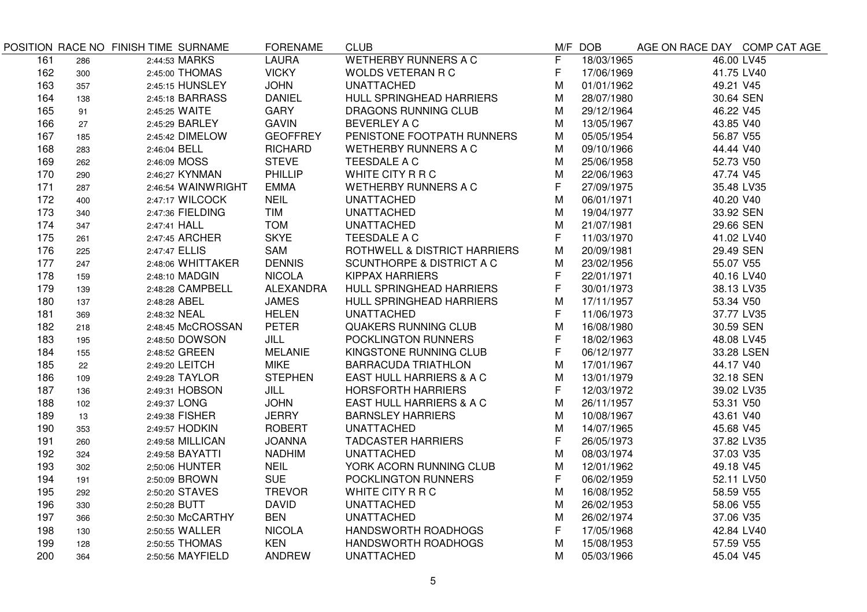|     |     | POSITION RACE NO FINISH TIME SURNAME | <b>FORENAME</b>  | <b>CLUB</b>                          |   | M/F DOB    | AGE ON RACE DAY COMP CAT AGE |            |
|-----|-----|--------------------------------------|------------------|--------------------------------------|---|------------|------------------------------|------------|
| 161 | 286 | 2:44:53 MARKS                        | <b>LAURA</b>     | <b>WETHERBY RUNNERS A C</b>          | F | 18/03/1965 | 46.00 LV45                   |            |
| 162 | 300 | 2:45:00 THOMAS                       | <b>VICKY</b>     | <b>WOLDS VETERAN R C</b>             | F | 17/06/1969 | 41.75 LV40                   |            |
| 163 | 357 | 2:45:15 HUNSLEY                      | <b>JOHN</b>      | <b>UNATTACHED</b>                    | M | 01/01/1962 | 49.21 V45                    |            |
| 164 | 138 | 2:45:18 BARRASS                      | <b>DANIEL</b>    | HULL SPRINGHEAD HARRIERS             | M | 28/07/1980 | 30.64 SEN                    |            |
| 165 | 91  | 2:45:25 WAITE                        | GARY             | <b>DRAGONS RUNNING CLUB</b>          | M | 29/12/1964 | 46.22 V45                    |            |
| 166 | 27  | 2:45:29 BARLEY                       | <b>GAVIN</b>     | BEVERLEY A C                         | М | 13/05/1967 | 43.85 V40                    |            |
| 167 | 185 | 2:45:42 DIMELOW                      | <b>GEOFFREY</b>  | PENISTONE FOOTPATH RUNNERS           | Μ | 05/05/1954 | 56.87 V55                    |            |
| 168 | 283 | 2:46:04 BELL                         | <b>RICHARD</b>   | <b>WETHERBY RUNNERS A C</b>          | Μ | 09/10/1966 | 44.44 V40                    |            |
| 169 | 262 | 2:46:09 MOSS                         | <b>STEVE</b>     | TEESDALE A C                         | М | 25/06/1958 | 52.73 V50                    |            |
| 170 | 290 | 2:46;27 KYNMAN                       | PHILLIP          | WHITE CITY R R C                     | Μ | 22/06/1963 | 47.74 V45                    |            |
| 171 | 287 | 2:46:54 WAINWRIGHT                   | <b>EMMA</b>      | <b>WETHERBY RUNNERS A C</b>          | F | 27/09/1975 | 35.48 LV35                   |            |
| 172 | 400 | 2:47:17 WILCOCK                      | <b>NEIL</b>      | <b>UNATTACHED</b>                    | M | 06/01/1971 | 40.20 V40                    |            |
| 173 | 340 | 2:47:36 FIELDING                     | <b>TIM</b>       | <b>UNATTACHED</b>                    | M | 19/04/1977 | 33.92 SEN                    |            |
| 174 | 347 | 2:47:41 HALL                         | <b>TOM</b>       | <b>UNATTACHED</b>                    | M | 21/07/1981 | 29.66 SEN                    |            |
| 175 | 261 | 2:47:45 ARCHER                       | <b>SKYE</b>      | TEESDALE A C                         | F | 11/03/1970 | 41.02 LV40                   |            |
| 176 | 225 | 2:47:47 ELLIS                        | SAM              | ROTHWELL & DISTRICT HARRIERS         | M | 20/09/1981 | 29.49 SEN                    |            |
| 177 | 247 | 2:48:06 WHITTAKER                    | <b>DENNIS</b>    | <b>SCUNTHORPE &amp; DISTRICT A C</b> | M | 23/02/1956 | 55.07 V55                    |            |
| 178 | 159 | 2:48:10 MADGIN                       | <b>NICOLA</b>    | <b>KIPPAX HARRIERS</b>               | F | 22/01/1971 | 40.16 LV40                   |            |
| 179 | 139 | 2:48:28 CAMPBELL                     | <b>ALEXANDRA</b> | HULL SPRINGHEAD HARRIERS             | F | 30/01/1973 | 38.13 LV35                   |            |
| 180 | 137 | 2:48:28 ABEL                         | <b>JAMES</b>     | HULL SPRINGHEAD HARRIERS             | М | 17/11/1957 | 53.34 V50                    |            |
| 181 | 369 | 2:48:32 NEAL                         | <b>HELEN</b>     | <b>UNATTACHED</b>                    | F | 11/06/1973 | 37.77 LV35                   |            |
| 182 | 218 | 2:48:45 McCROSSAN                    | <b>PETER</b>     | <b>QUAKERS RUNNING CLUB</b>          | M | 16/08/1980 | 30.59 SEN                    |            |
| 183 | 195 | 2:48:50 DOWSON                       | <b>JILL</b>      | POCKLINGTON RUNNERS                  | F | 18/02/1963 | 48.08 LV45                   |            |
| 184 | 155 | 2:48:52 GREEN                        | <b>MELANIE</b>   | KINGSTONE RUNNING CLUB               | F | 06/12/1977 |                              | 33.28 LSEN |
| 185 | 22  | 2:49:20 LEITCH                       | <b>MIKE</b>      | <b>BARRACUDA TRIATHLON</b>           | M | 17/01/1967 | 44.17 V40                    |            |
| 186 | 109 | 2:49:28 TAYLOR                       | <b>STEPHEN</b>   | EAST HULL HARRIERS & A C             | M | 13/01/1979 | 32.18 SEN                    |            |
| 187 | 136 | 2:49:31 HOBSON                       | JILL             | <b>HORSFORTH HARRIERS</b>            | F | 12/03/1972 | 39.02 LV35                   |            |
| 188 | 102 | 2:49:37 LONG                         | <b>JOHN</b>      | EAST HULL HARRIERS & A C             | M | 26/11/1957 | 53.31 V50                    |            |
| 189 | 13  | 2:49:38 FISHER                       | <b>JERRY</b>     | <b>BARNSLEY HARRIERS</b>             | Μ | 10/08/1967 | 43.61 V40                    |            |
| 190 | 353 | 2:49:57 HODKIN                       | <b>ROBERT</b>    | <b>UNATTACHED</b>                    | M | 14/07/1965 | 45.68 V45                    |            |
| 191 | 260 | 2:49:58 MILLICAN                     | <b>JOANNA</b>    | <b>TADCASTER HARRIERS</b>            | F | 26/05/1973 | 37.82 LV35                   |            |
| 192 | 324 | 2:49:58 BAYATTI                      | <b>NADHIM</b>    | <b>UNATTACHED</b>                    | М | 08/03/1974 | 37.03 V35                    |            |
| 193 | 302 | 2;50:06 HUNTER                       | <b>NEIL</b>      | YORK ACORN RUNNING CLUB              | M | 12/01/1962 | 49.18 V45                    |            |
| 194 | 191 | 2:50:09 BROWN                        | <b>SUE</b>       | POCKLINGTON RUNNERS                  | F | 06/02/1959 | 52.11 LV50                   |            |
| 195 | 292 | 2:50:20 STAVES                       | <b>TREVOR</b>    | WHITE CITY R R C                     | M | 16/08/1952 | 58.59 V55                    |            |
| 196 | 330 | 2:50;28 BUTT                         | <b>DAVID</b>     | <b>UNATTACHED</b>                    | Μ | 26/02/1953 | 58.06 V55                    |            |
| 197 | 366 | 2:50:30 McCARTHY                     | <b>BEN</b>       | <b>UNATTACHED</b>                    | M | 26/02/1974 | 37.06 V35                    |            |
| 198 | 130 | 2:50:55 WALLER                       | <b>NICOLA</b>    | HANDSWORTH ROADHOGS                  | F | 17/05/1968 | 42.84 LV40                   |            |
| 199 | 128 | 2:50:55 THOMAS                       | <b>KEN</b>       | HANDSWORTH ROADHOGS                  | M | 15/08/1953 | 57.59 V55                    |            |
| 200 | 364 | 2:50:56 MAYFIELD                     | <b>ANDREW</b>    | <b>UNATTACHED</b>                    | M | 05/03/1966 | 45.04 V45                    |            |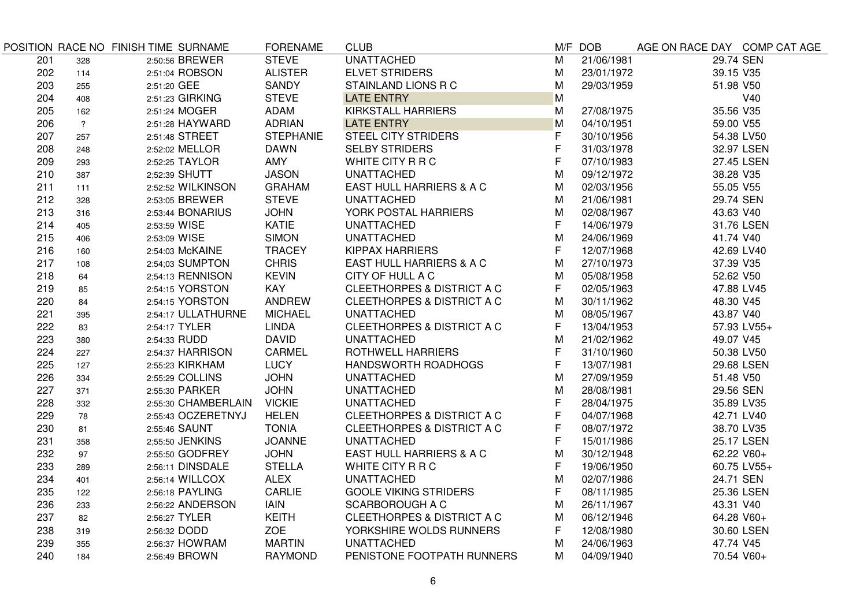|     |                | POSITION RACE NO FINISH TIME SURNAME | <b>FORENAME</b>  | <b>CLUB</b>                           |              | M/F DOB    | AGE ON RACE DAY COMP CAT AGE |             |
|-----|----------------|--------------------------------------|------------------|---------------------------------------|--------------|------------|------------------------------|-------------|
| 201 | 328            | 2:50:56 BREWER                       | <b>STEVE</b>     | <b>UNATTACHED</b>                     | M            | 21/06/1981 | 29.74 SEN                    |             |
| 202 | 114            | 2:51:04 ROBSON                       | <b>ALISTER</b>   | <b>ELVET STRIDERS</b>                 | M            | 23/01/1972 | 39.15 V35                    |             |
| 203 | 255            | 2:51:20 GEE                          | SANDY            | STAINLAND LIONS R C                   | M            | 29/03/1959 | 51.98 V50                    |             |
| 204 | 408            | 2:51:23 GIRKING                      | <b>STEVE</b>     | <b>LATE ENTRY</b>                     | M            |            |                              | V40         |
| 205 | 162            | 2:51:24 MOGER                        | ADAM             | <b>KIRKSTALL HARRIERS</b>             | M            | 27/08/1975 | 35.56 V35                    |             |
| 206 | $\overline{?}$ | 2:51:28 HAYWARD                      | <b>ADRIAN</b>    | <b>LATE ENTRY</b>                     | M            | 04/10/1951 | 59.00 V55                    |             |
| 207 | 257            | 2:51:48 STREET                       | <b>STEPHANIE</b> | <b>STEEL CITY STRIDERS</b>            | F            | 30/10/1956 | 54.38 LV50                   |             |
| 208 | 248            | 2:52:02 MELLOR                       | <b>DAWN</b>      | <b>SELBY STRIDERS</b>                 | $\mathsf F$  | 31/03/1978 |                              | 32.97 LSEN  |
| 209 | 293            | 2:52:25 TAYLOR                       | AMY              | WHITE CITY R R C                      | F            | 07/10/1983 |                              | 27.45 LSEN  |
| 210 | 387            | 2;52:39 SHUTT                        | <b>JASON</b>     | <b>UNATTACHED</b>                     | M            | 09/12/1972 | 38.28 V35                    |             |
| 211 | 111            | 2:52:52 WILKINSON                    | <b>GRAHAM</b>    | EAST HULL HARRIERS & A C              | M            | 02/03/1956 | 55.05 V55                    |             |
| 212 | 328            | 2:53:05 BREWER                       | <b>STEVE</b>     | <b>UNATTACHED</b>                     | M            | 21/06/1981 | 29.74 SEN                    |             |
| 213 | 316            | 2:53:44 BONARIUS                     | <b>JOHN</b>      | YORK POSTAL HARRIERS                  | M            | 02/08/1967 | 43.63 V40                    |             |
| 214 | 405            | 2:53:59 WISE                         | KATIE            | <b>UNATTACHED</b>                     | $\mathsf{F}$ | 14/06/1979 |                              | 31.76 LSEN  |
| 215 | 406            | 2:53:09 WISE                         | <b>SIMON</b>     | <b>UNATTACHED</b>                     | M            | 24/06/1969 | 41.74 V40                    |             |
| 216 | 160            | 2:54:03 McKAINE                      | <b>TRACEY</b>    | <b>KIPPAX HARRIERS</b>                | F            | 12/07/1968 | 42.69 LV40                   |             |
| 217 | 108            | 2:54;03 SUMPTON                      | <b>CHRIS</b>     | EAST HULL HARRIERS & A C              | M            | 27/10/1973 | 37.39 V35                    |             |
| 218 | 64             | 2;54:13 RENNISON                     | <b>KEVIN</b>     | CITY OF HULL A C                      | M            | 05/08/1958 | 52.62 V50                    |             |
| 219 | 85             | 2:54:15 YORSTON                      | <b>KAY</b>       | <b>CLEETHORPES &amp; DISTRICT A C</b> | F            | 02/05/1963 | 47.88 LV45                   |             |
| 220 | 84             | 2:54:15 YORSTON                      | ANDREW           | <b>CLEETHORPES &amp; DISTRICT A C</b> | M            | 30/11/1962 | 48.30 V45                    |             |
| 221 | 395            | 2:54:17 ULLATHURNE                   | <b>MICHAEL</b>   | <b>UNATTACHED</b>                     | M            | 08/05/1967 | 43.87 V40                    |             |
| 222 | 83             | 2:54:17 TYLER                        | LINDA            | CLEETHORPES & DISTRICT A C            | F            | 13/04/1953 |                              | 57.93 LV55+ |
| 223 | 380            | 2:54:33 RUDD                         | <b>DAVID</b>     | <b>UNATTACHED</b>                     | M            | 21/02/1962 | 49.07 V45                    |             |
| 224 | 227            | 2:54:37 HARRISON                     | <b>CARMEL</b>    | <b>ROTHWELL HARRIERS</b>              | F            | 31/10/1960 | 50.38 LV50                   |             |
| 225 | 127            | 2:55:23 KIRKHAM                      | <b>LUCY</b>      | <b>HANDSWORTH ROADHOGS</b>            | F            | 13/07/1981 |                              | 29.68 LSEN  |
| 226 | 334            | 2:55:29 COLLINS                      | <b>JOHN</b>      | <b>UNATTACHED</b>                     | M            | 27/09/1959 | 51.48 V50                    |             |
| 227 | 371            | 2:55:30 PARKER                       | <b>JOHN</b>      | <b>UNATTACHED</b>                     | M            | 28/08/1981 | 29.56 SEN                    |             |
| 228 | 332            | 2:55:30 CHAMBERLAIN                  | <b>VICKIE</b>    | <b>UNATTACHED</b>                     | F            | 28/04/1975 | 35.89 LV35                   |             |
| 229 | 78             | 2:55:43 OCZERETNYJ                   | <b>HELEN</b>     | CLEETHORPES & DISTRICT A C            | F            | 04/07/1968 | 42.71 LV40                   |             |
| 230 | 81             | 2:55:46 SAUNT                        | <b>TONIA</b>     | CLEETHORPES & DISTRICT A C            | F            | 08/07/1972 | 38.70 LV35                   |             |
| 231 | 358            | 2;55:50 JENKINS                      | <b>JOANNE</b>    | <b>UNATTACHED</b>                     | F            | 15/01/1986 |                              | 25.17 LSEN  |
| 232 | 97             | 2:55:50 GODFREY                      | <b>JOHN</b>      | EAST HULL HARRIERS & A C              | M            | 30/12/1948 | 62.22 V60+                   |             |
| 233 | 289            | 2:56:11 DINSDALE                     | <b>STELLA</b>    | WHITE CITY R R C                      | F            | 19/06/1950 |                              | 60.75 LV55+ |
| 234 | 401            | 2:56:14 WILLCOX                      | <b>ALEX</b>      | <b>UNATTACHED</b>                     | M            | 02/07/1986 | 24.71 SEN                    |             |
| 235 | 122            | 2:56:18 PAYLING                      | CARLIE           | <b>GOOLE VIKING STRIDERS</b>          | F            | 08/11/1985 |                              | 25.36 LSEN  |
| 236 | 233            | 2:56:22 ANDERSON                     | <b>IAIN</b>      | <b>SCARBOROUGH A C</b>                | M            | 26/11/1967 | 43.31 V40                    |             |
| 237 | 82             | 2:56:27 TYLER                        | <b>KEITH</b>     | CLEETHORPES & DISTRICT A C            | M            | 06/12/1946 | 64.28 V60+                   |             |
| 238 | 319            | 2:56:32 DODD                         | <b>ZOE</b>       | YORKSHIRE WOLDS RUNNERS               | F            | 12/08/1980 |                              | 30.60 LSEN  |
| 239 | 355            | 2:56:37 HOWRAM                       | <b>MARTIN</b>    | <b>UNATTACHED</b>                     | M            | 24/06/1963 | 47.74 V45                    |             |
| 240 | 184            | 2:56:49 BROWN                        | <b>RAYMOND</b>   | PENISTONE FOOTPATH RUNNERS            | м            | 04/09/1940 | 70.54 V60+                   |             |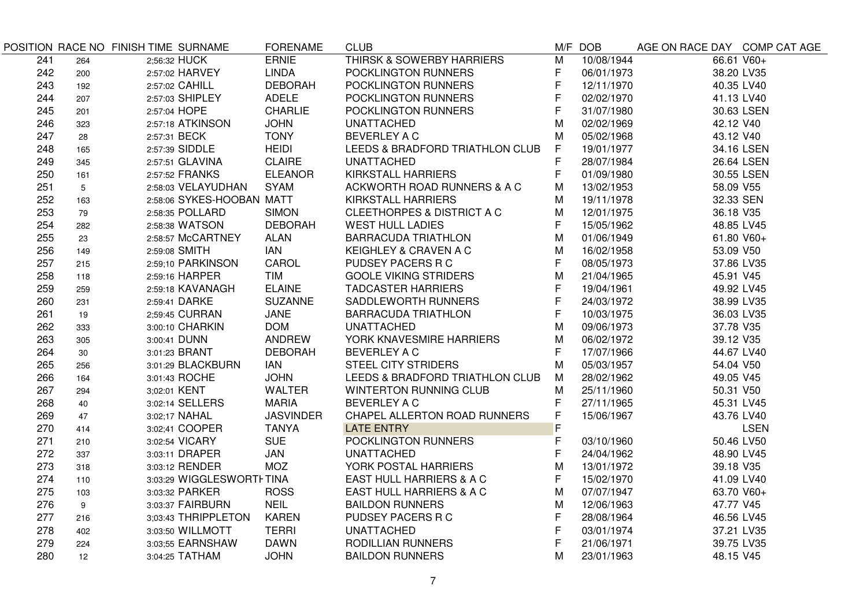|     |     | POSITION RACE NO FINISH TIME SURNAME | <b>FORENAME</b>  | <b>CLUB</b>                           |                | M/F DOB    | AGE ON RACE DAY COMP CAT AGE |             |
|-----|-----|--------------------------------------|------------------|---------------------------------------|----------------|------------|------------------------------|-------------|
| 241 | 264 | 2;56:32 HUCK                         | <b>ERNIE</b>     | <b>THIRSK &amp; SOWERBY HARRIERS</b>  | $\overline{M}$ | 10/08/1944 | 66.61 V60+                   |             |
| 242 | 200 | 2:57:02 HARVEY                       | <b>LINDA</b>     | POCKLINGTON RUNNERS                   | F              | 06/01/1973 | 38.20 LV35                   |             |
| 243 | 192 | 2:57:02 CAHILL                       | <b>DEBORAH</b>   | POCKLINGTON RUNNERS                   | $\mathsf F$    | 12/11/1970 | 40.35 LV40                   |             |
| 244 | 207 | 2:57:03 SHIPLEY                      | <b>ADELE</b>     | POCKLINGTON RUNNERS                   | $\mathsf F$    | 02/02/1970 | 41.13 LV40                   |             |
| 245 | 201 | 2:57:04 HOPE                         | <b>CHARLIE</b>   | POCKLINGTON RUNNERS                   | F              | 31/07/1980 |                              | 30.63 LSEN  |
| 246 | 323 | 2:57:18 ATKINSON                     | <b>JOHN</b>      | <b>UNATTACHED</b>                     | M              | 02/02/1969 | 42.12 V40                    |             |
| 247 | 28  | 2:57:31 BECK                         | <b>TONY</b>      | <b>BEVERLEY A C</b>                   | M              | 05/02/1968 | 43.12 V40                    |             |
| 248 | 165 | 2:57:39 SIDDLE                       | <b>HEIDI</b>     | LEEDS & BRADFORD TRIATHLON CLUB       | F              | 19/01/1977 |                              | 34.16 LSEN  |
| 249 | 345 | 2:57:51 GLAVINA                      | <b>CLAIRE</b>    | <b>UNATTACHED</b>                     | F              | 28/07/1984 |                              | 26.64 LSEN  |
| 250 | 161 | 2:57:52 FRANKS                       | <b>ELEANOR</b>   | <b>KIRKSTALL HARRIERS</b>             | F              | 01/09/1980 |                              | 30.55 LSEN  |
| 251 | 5   | 2:58:03 VELAYUDHAN                   | <b>SYAM</b>      | ACKWORTH ROAD RUNNERS & A C           | M              | 13/02/1953 | 58.09 V55                    |             |
| 252 | 163 | 2:58:06 SYKES-HOOBAN MATT            |                  | <b>KIRKSTALL HARRIERS</b>             | м              | 19/11/1978 | 32.33 SEN                    |             |
| 253 | 79  | 2:58:35 POLLARD                      | <b>SIMON</b>     | <b>CLEETHORPES &amp; DISTRICT A C</b> | M              | 12/01/1975 | 36.18 V35                    |             |
| 254 | 282 | 2:58:38 WATSON                       | <b>DEBORAH</b>   | <b>WEST HULL LADIES</b>               | F              | 15/05/1962 | 48.85 LV45                   |             |
| 255 | 23  | 2:58:57 McCARTNEY                    | <b>ALAN</b>      | <b>BARRACUDA TRIATHLON</b>            | M              | 01/06/1949 | 61.80 V60+                   |             |
| 256 | 149 | 2:59:08 SMITH                        | <b>IAN</b>       | KEIGHLEY & CRAVEN A C                 | M              | 16/02/1958 | 53.09 V50                    |             |
| 257 | 215 | 2:59;10 PARKINSON                    | CAROL            | PUDSEY PACERS R C                     | F              | 08/05/1973 | 37.86 LV35                   |             |
| 258 | 118 | 2:59:16 HARPER                       | <b>TIM</b>       | <b>GOOLE VIKING STRIDERS</b>          | M              | 21/04/1965 | 45.91 V45                    |             |
| 259 | 259 | 2:59:18 KAVANAGH                     | <b>ELAINE</b>    | <b>TADCASTER HARRIERS</b>             | F              | 19/04/1961 | 49.92 LV45                   |             |
| 260 | 231 | 2:59:41 DARKE                        | <b>SUZANNE</b>   | SADDLEWORTH RUNNERS                   | $\mathsf F$    | 24/03/1972 | 38.99 LV35                   |             |
| 261 | 19  | 2;59:45 CURRAN                       | <b>JANE</b>      | <b>BARRACUDA TRIATHLON</b>            | F              | 10/03/1975 | 36.03 LV35                   |             |
| 262 | 333 | 3:00:10 CHARKIN                      | <b>DOM</b>       | <b>UNATTACHED</b>                     | M              | 09/06/1973 | 37.78 V35                    |             |
| 263 | 305 | 3:00:41 DUNN                         | ANDREW           | YORK KNAVESMIRE HARRIERS              | M              | 06/02/1972 | 39.12 V35                    |             |
| 264 | 30  | 3:01:23 BRANT                        | <b>DEBORAH</b>   | <b>BEVERLEY A C</b>                   | F              | 17/07/1966 | 44.67 LV40                   |             |
| 265 | 256 | 3:01:29 BLACKBURN                    | IAN              | <b>STEEL CITY STRIDERS</b>            | М              | 05/03/1957 | 54.04 V50                    |             |
| 266 | 164 | 3:01:43 ROCHE                        | <b>JOHN</b>      | LEEDS & BRADFORD TRIATHLON CLUB       | M              | 28/02/1962 | 49.05 V45                    |             |
| 267 | 294 | 3;02:01 KENT                         | <b>WALTER</b>    | <b>WINTERTON RUNNING CLUB</b>         | M              | 25/11/1960 | 50.31 V50                    |             |
| 268 | 40  | 3:02:14 SELLERS                      | <b>MARIA</b>     | <b>BEVERLEY A C</b>                   | F              | 27/11/1965 | 45.31 LV45                   |             |
| 269 | 47  | 3:02;17 NAHAL                        | <b>JASVINDER</b> | CHAPEL ALLERTON ROAD RUNNERS          | F              | 15/06/1967 | 43.76 LV40                   |             |
| 270 | 414 | 3:02;41 COOPER                       | <b>TANYA</b>     | <b>LATE ENTRY</b>                     | $\mathsf F$    |            |                              | <b>LSEN</b> |
| 271 | 210 | 3:02:54 VICARY                       | <b>SUE</b>       | POCKLINGTON RUNNERS                   | $\mathsf F$    | 03/10/1960 | 50.46 LV50                   |             |
| 272 | 337 | 3:03:11 DRAPER                       | JAN              | <b>UNATTACHED</b>                     | $\mathsf F$    | 24/04/1962 | 48.90 LV45                   |             |
| 273 | 318 | 3:03:12 RENDER                       | MOZ              | YORK POSTAL HARRIERS                  | M              | 13/01/1972 | 39.18 V35                    |             |
| 274 | 110 | 3:03:29 WIGGLESWORTI TINA            |                  | EAST HULL HARRIERS & A C              | F              | 15/02/1970 | 41.09 LV40                   |             |
| 275 | 103 | 3:03:32 PARKER                       | <b>ROSS</b>      | EAST HULL HARRIERS & A C              | M              | 07/07/1947 | 63.70 V60+                   |             |
| 276 | 9   | 3:03:37 FAIRBURN                     | <b>NEIL</b>      | <b>BAILDON RUNNERS</b>                | M              | 12/06/1963 | 47.77 V45                    |             |
| 277 | 216 | 3,03:43 THRIPPLETON                  | <b>KAREN</b>     | PUDSEY PACERS R C                     | F              | 28/08/1964 | 46.56 LV45                   |             |
| 278 | 402 | 3:03:50 WILLMOTT                     | <b>TERRI</b>     | <b>UNATTACHED</b>                     | $\mathsf F$    | 03/01/1974 | 37.21 LV35                   |             |
| 279 | 224 | 3:03;55 EARNSHAW                     | <b>DAWN</b>      | RODILLIAN RUNNERS                     | $\mathsf F$    | 21/06/1971 | 39.75 LV35                   |             |
| 280 | 12  | 3:04:25 TATHAM                       | <b>JOHN</b>      | <b>BAILDON RUNNERS</b>                | M              | 23/01/1963 | 48.15 V45                    |             |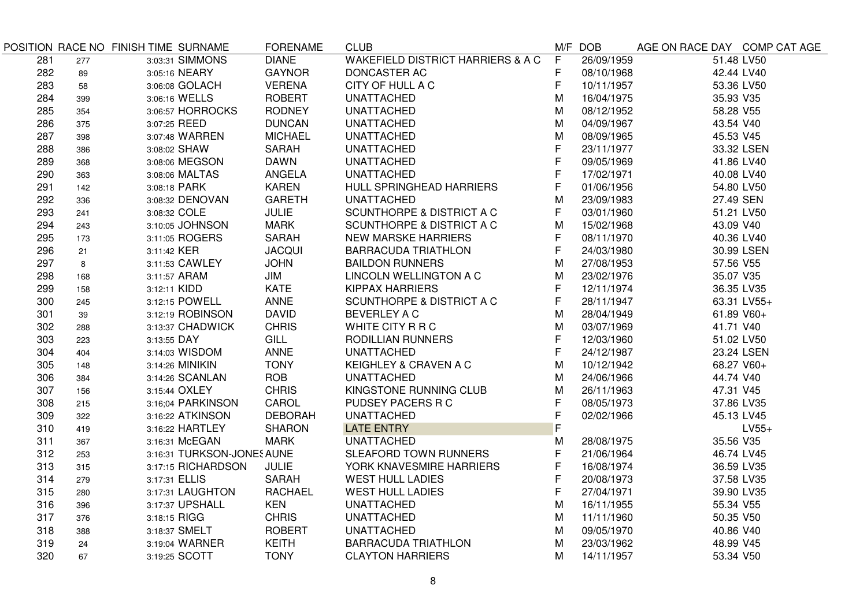| <b>WAKEFIELD DISTRICT HARRIERS &amp; A C</b><br><b>DIANE</b><br>F<br>3:03:31 SIMMONS<br>26/09/1959<br>51.48 LV50<br>281<br>277<br>F<br>282<br>3:05:16 NEARY<br><b>GAYNOR</b><br>DONCASTER AC<br>08/10/1968<br>42.44 LV40<br>89<br>F<br>283<br><b>VERENA</b><br>CITY OF HULL A C<br>10/11/1957<br>53.36 LV50<br>3:06:08 GOLACH<br>58<br><b>ROBERT</b><br>284<br><b>UNATTACHED</b><br>M<br>3:06:16 WELLS<br>16/04/1975<br>35.93 V35<br>399<br>285<br>3:06:57 HORROCKS<br><b>RODNEY</b><br><b>UNATTACHED</b><br>08/12/1952<br>58.28 V55<br>354<br>M<br>286<br><b>DUNCAN</b><br><b>UNATTACHED</b><br>M<br>04/09/1967<br>43.54 V40<br>3:07:25 REED<br>375<br>287<br>3:07:48 WARREN<br><b>MICHAEL</b><br><b>UNATTACHED</b><br>M<br>08/09/1965<br>45.53 V45<br>398<br>F.<br>288<br>SARAH<br><b>UNATTACHED</b><br>23/11/1977<br>33.32 LSEN<br>3:08:02 SHAW<br>386<br>F<br>289<br>3:08:06 MEGSON<br><b>DAWN</b><br><b>UNATTACHED</b><br>09/05/1969<br>41.86 LV40<br>368<br>F<br>290<br>ANGELA<br><b>UNATTACHED</b><br>17/02/1971<br>40.08 LV40<br>3:08:06 MALTAS<br>363<br>F<br>291<br><b>KAREN</b><br>HULL SPRINGHEAD HARRIERS<br>01/06/1956<br>54.80 LV50<br>3:08:18 PARK<br>142<br>292<br><b>GARETH</b><br><b>UNATTACHED</b><br>M<br>23/09/1983<br>3:08:32 DENOVAN<br>27.49 SEN<br>336<br>F<br>293<br><b>JULIE</b><br><b>SCUNTHORPE &amp; DISTRICT A C</b><br>03/01/1960<br>3:08:32 COLE<br>51.21 LV50<br>241<br>294<br><b>SCUNTHORPE &amp; DISTRICT A C</b><br>M<br>3:10:05 JOHNSON<br>MARK<br>15/02/1968<br>43.09 V40<br>243<br>F.<br>295<br>3:11:05 ROGERS<br>SARAH<br><b>NEW MARSKE HARRIERS</b><br>08/11/1970<br>40.36 LV40<br>173<br>F<br><b>JACQUI</b><br>296<br><b>BARRACUDA TRIATHLON</b><br>24/03/1980<br>30.99 LSEN<br>21<br>3:11:42 KER<br>297<br><b>JOHN</b><br>M<br>3:11:53 CAWLEY<br><b>BAILDON RUNNERS</b><br>27/08/1953<br>57.56 V55<br>8<br>298<br>35.07 V35<br>3:11:57 ARAM<br>JIM<br>LINCOLN WELLINGTON A C<br>м<br>23/02/1976<br>168<br>F<br>299<br>3:12:11 KIDD<br><b>KATE</b><br><b>KIPPAX HARRIERS</b><br>12/11/1974<br>36.35 LV35<br>158<br>F<br>300<br>3:12:15 POWELL<br>ANNE<br><b>SCUNTHORPE &amp; DISTRICT A C</b><br>28/11/1947<br>63.31 LV55+<br>245<br><b>DAVID</b><br>3:12:19 ROBINSON<br><b>BEVERLEY A C</b><br>M<br>301<br>28/04/1949<br>61.89 V60+<br>39<br>302<br><b>CHRIS</b><br>WHITE CITY R R C<br>M<br>03/07/1969<br>41.71 V40<br>3:13:37 CHADWICK<br>288<br>F<br>303<br>GILL<br>RODILLIAN RUNNERS<br>12/03/1960<br>51.02 LV50<br>3:13:55 DAY<br>223<br>F.<br>304<br><b>ANNE</b><br><b>UNATTACHED</b><br>24/12/1987<br>23.24 LSEN<br>3:14:03 WISDOM<br>404<br><b>TONY</b><br>M<br>305<br>3:14:26 MINIKIN<br>KEIGHLEY & CRAVEN A C<br>10/12/1942<br>68.27 V60+<br>148<br>306<br>ROB<br>44.74 V40<br>3:14:26 SCANLAN<br><b>UNATTACHED</b><br>м<br>24/06/1966<br>384<br><b>CHRIS</b><br>307<br>KINGSTONE RUNNING CLUB<br>M<br>26/11/1963<br>47.31 V45<br>3:15:44 OXLEY<br>156<br>F<br>308<br>CAROL<br>PUDSEY PACERS R C<br>3:16;04 PARKINSON<br>08/05/1973<br>37.86 LV35<br>215 |  |
|-----------------------------------------------------------------------------------------------------------------------------------------------------------------------------------------------------------------------------------------------------------------------------------------------------------------------------------------------------------------------------------------------------------------------------------------------------------------------------------------------------------------------------------------------------------------------------------------------------------------------------------------------------------------------------------------------------------------------------------------------------------------------------------------------------------------------------------------------------------------------------------------------------------------------------------------------------------------------------------------------------------------------------------------------------------------------------------------------------------------------------------------------------------------------------------------------------------------------------------------------------------------------------------------------------------------------------------------------------------------------------------------------------------------------------------------------------------------------------------------------------------------------------------------------------------------------------------------------------------------------------------------------------------------------------------------------------------------------------------------------------------------------------------------------------------------------------------------------------------------------------------------------------------------------------------------------------------------------------------------------------------------------------------------------------------------------------------------------------------------------------------------------------------------------------------------------------------------------------------------------------------------------------------------------------------------------------------------------------------------------------------------------------------------------------------------------------------------------------------------------------------------------------------------------------------------------------------------------------------------------------------------------------------------------------------------------------------------------------------------------------------------------------------------------------------------------------------------------------------------------------------------------------------------------------------------------------------------------------------------------------------------|--|
|                                                                                                                                                                                                                                                                                                                                                                                                                                                                                                                                                                                                                                                                                                                                                                                                                                                                                                                                                                                                                                                                                                                                                                                                                                                                                                                                                                                                                                                                                                                                                                                                                                                                                                                                                                                                                                                                                                                                                                                                                                                                                                                                                                                                                                                                                                                                                                                                                                                                                                                                                                                                                                                                                                                                                                                                                                                                                                                                                                                                                 |  |
|                                                                                                                                                                                                                                                                                                                                                                                                                                                                                                                                                                                                                                                                                                                                                                                                                                                                                                                                                                                                                                                                                                                                                                                                                                                                                                                                                                                                                                                                                                                                                                                                                                                                                                                                                                                                                                                                                                                                                                                                                                                                                                                                                                                                                                                                                                                                                                                                                                                                                                                                                                                                                                                                                                                                                                                                                                                                                                                                                                                                                 |  |
|                                                                                                                                                                                                                                                                                                                                                                                                                                                                                                                                                                                                                                                                                                                                                                                                                                                                                                                                                                                                                                                                                                                                                                                                                                                                                                                                                                                                                                                                                                                                                                                                                                                                                                                                                                                                                                                                                                                                                                                                                                                                                                                                                                                                                                                                                                                                                                                                                                                                                                                                                                                                                                                                                                                                                                                                                                                                                                                                                                                                                 |  |
|                                                                                                                                                                                                                                                                                                                                                                                                                                                                                                                                                                                                                                                                                                                                                                                                                                                                                                                                                                                                                                                                                                                                                                                                                                                                                                                                                                                                                                                                                                                                                                                                                                                                                                                                                                                                                                                                                                                                                                                                                                                                                                                                                                                                                                                                                                                                                                                                                                                                                                                                                                                                                                                                                                                                                                                                                                                                                                                                                                                                                 |  |
|                                                                                                                                                                                                                                                                                                                                                                                                                                                                                                                                                                                                                                                                                                                                                                                                                                                                                                                                                                                                                                                                                                                                                                                                                                                                                                                                                                                                                                                                                                                                                                                                                                                                                                                                                                                                                                                                                                                                                                                                                                                                                                                                                                                                                                                                                                                                                                                                                                                                                                                                                                                                                                                                                                                                                                                                                                                                                                                                                                                                                 |  |
|                                                                                                                                                                                                                                                                                                                                                                                                                                                                                                                                                                                                                                                                                                                                                                                                                                                                                                                                                                                                                                                                                                                                                                                                                                                                                                                                                                                                                                                                                                                                                                                                                                                                                                                                                                                                                                                                                                                                                                                                                                                                                                                                                                                                                                                                                                                                                                                                                                                                                                                                                                                                                                                                                                                                                                                                                                                                                                                                                                                                                 |  |
|                                                                                                                                                                                                                                                                                                                                                                                                                                                                                                                                                                                                                                                                                                                                                                                                                                                                                                                                                                                                                                                                                                                                                                                                                                                                                                                                                                                                                                                                                                                                                                                                                                                                                                                                                                                                                                                                                                                                                                                                                                                                                                                                                                                                                                                                                                                                                                                                                                                                                                                                                                                                                                                                                                                                                                                                                                                                                                                                                                                                                 |  |
|                                                                                                                                                                                                                                                                                                                                                                                                                                                                                                                                                                                                                                                                                                                                                                                                                                                                                                                                                                                                                                                                                                                                                                                                                                                                                                                                                                                                                                                                                                                                                                                                                                                                                                                                                                                                                                                                                                                                                                                                                                                                                                                                                                                                                                                                                                                                                                                                                                                                                                                                                                                                                                                                                                                                                                                                                                                                                                                                                                                                                 |  |
|                                                                                                                                                                                                                                                                                                                                                                                                                                                                                                                                                                                                                                                                                                                                                                                                                                                                                                                                                                                                                                                                                                                                                                                                                                                                                                                                                                                                                                                                                                                                                                                                                                                                                                                                                                                                                                                                                                                                                                                                                                                                                                                                                                                                                                                                                                                                                                                                                                                                                                                                                                                                                                                                                                                                                                                                                                                                                                                                                                                                                 |  |
|                                                                                                                                                                                                                                                                                                                                                                                                                                                                                                                                                                                                                                                                                                                                                                                                                                                                                                                                                                                                                                                                                                                                                                                                                                                                                                                                                                                                                                                                                                                                                                                                                                                                                                                                                                                                                                                                                                                                                                                                                                                                                                                                                                                                                                                                                                                                                                                                                                                                                                                                                                                                                                                                                                                                                                                                                                                                                                                                                                                                                 |  |
|                                                                                                                                                                                                                                                                                                                                                                                                                                                                                                                                                                                                                                                                                                                                                                                                                                                                                                                                                                                                                                                                                                                                                                                                                                                                                                                                                                                                                                                                                                                                                                                                                                                                                                                                                                                                                                                                                                                                                                                                                                                                                                                                                                                                                                                                                                                                                                                                                                                                                                                                                                                                                                                                                                                                                                                                                                                                                                                                                                                                                 |  |
|                                                                                                                                                                                                                                                                                                                                                                                                                                                                                                                                                                                                                                                                                                                                                                                                                                                                                                                                                                                                                                                                                                                                                                                                                                                                                                                                                                                                                                                                                                                                                                                                                                                                                                                                                                                                                                                                                                                                                                                                                                                                                                                                                                                                                                                                                                                                                                                                                                                                                                                                                                                                                                                                                                                                                                                                                                                                                                                                                                                                                 |  |
|                                                                                                                                                                                                                                                                                                                                                                                                                                                                                                                                                                                                                                                                                                                                                                                                                                                                                                                                                                                                                                                                                                                                                                                                                                                                                                                                                                                                                                                                                                                                                                                                                                                                                                                                                                                                                                                                                                                                                                                                                                                                                                                                                                                                                                                                                                                                                                                                                                                                                                                                                                                                                                                                                                                                                                                                                                                                                                                                                                                                                 |  |
|                                                                                                                                                                                                                                                                                                                                                                                                                                                                                                                                                                                                                                                                                                                                                                                                                                                                                                                                                                                                                                                                                                                                                                                                                                                                                                                                                                                                                                                                                                                                                                                                                                                                                                                                                                                                                                                                                                                                                                                                                                                                                                                                                                                                                                                                                                                                                                                                                                                                                                                                                                                                                                                                                                                                                                                                                                                                                                                                                                                                                 |  |
|                                                                                                                                                                                                                                                                                                                                                                                                                                                                                                                                                                                                                                                                                                                                                                                                                                                                                                                                                                                                                                                                                                                                                                                                                                                                                                                                                                                                                                                                                                                                                                                                                                                                                                                                                                                                                                                                                                                                                                                                                                                                                                                                                                                                                                                                                                                                                                                                                                                                                                                                                                                                                                                                                                                                                                                                                                                                                                                                                                                                                 |  |
|                                                                                                                                                                                                                                                                                                                                                                                                                                                                                                                                                                                                                                                                                                                                                                                                                                                                                                                                                                                                                                                                                                                                                                                                                                                                                                                                                                                                                                                                                                                                                                                                                                                                                                                                                                                                                                                                                                                                                                                                                                                                                                                                                                                                                                                                                                                                                                                                                                                                                                                                                                                                                                                                                                                                                                                                                                                                                                                                                                                                                 |  |
|                                                                                                                                                                                                                                                                                                                                                                                                                                                                                                                                                                                                                                                                                                                                                                                                                                                                                                                                                                                                                                                                                                                                                                                                                                                                                                                                                                                                                                                                                                                                                                                                                                                                                                                                                                                                                                                                                                                                                                                                                                                                                                                                                                                                                                                                                                                                                                                                                                                                                                                                                                                                                                                                                                                                                                                                                                                                                                                                                                                                                 |  |
|                                                                                                                                                                                                                                                                                                                                                                                                                                                                                                                                                                                                                                                                                                                                                                                                                                                                                                                                                                                                                                                                                                                                                                                                                                                                                                                                                                                                                                                                                                                                                                                                                                                                                                                                                                                                                                                                                                                                                                                                                                                                                                                                                                                                                                                                                                                                                                                                                                                                                                                                                                                                                                                                                                                                                                                                                                                                                                                                                                                                                 |  |
|                                                                                                                                                                                                                                                                                                                                                                                                                                                                                                                                                                                                                                                                                                                                                                                                                                                                                                                                                                                                                                                                                                                                                                                                                                                                                                                                                                                                                                                                                                                                                                                                                                                                                                                                                                                                                                                                                                                                                                                                                                                                                                                                                                                                                                                                                                                                                                                                                                                                                                                                                                                                                                                                                                                                                                                                                                                                                                                                                                                                                 |  |
|                                                                                                                                                                                                                                                                                                                                                                                                                                                                                                                                                                                                                                                                                                                                                                                                                                                                                                                                                                                                                                                                                                                                                                                                                                                                                                                                                                                                                                                                                                                                                                                                                                                                                                                                                                                                                                                                                                                                                                                                                                                                                                                                                                                                                                                                                                                                                                                                                                                                                                                                                                                                                                                                                                                                                                                                                                                                                                                                                                                                                 |  |
|                                                                                                                                                                                                                                                                                                                                                                                                                                                                                                                                                                                                                                                                                                                                                                                                                                                                                                                                                                                                                                                                                                                                                                                                                                                                                                                                                                                                                                                                                                                                                                                                                                                                                                                                                                                                                                                                                                                                                                                                                                                                                                                                                                                                                                                                                                                                                                                                                                                                                                                                                                                                                                                                                                                                                                                                                                                                                                                                                                                                                 |  |
|                                                                                                                                                                                                                                                                                                                                                                                                                                                                                                                                                                                                                                                                                                                                                                                                                                                                                                                                                                                                                                                                                                                                                                                                                                                                                                                                                                                                                                                                                                                                                                                                                                                                                                                                                                                                                                                                                                                                                                                                                                                                                                                                                                                                                                                                                                                                                                                                                                                                                                                                                                                                                                                                                                                                                                                                                                                                                                                                                                                                                 |  |
|                                                                                                                                                                                                                                                                                                                                                                                                                                                                                                                                                                                                                                                                                                                                                                                                                                                                                                                                                                                                                                                                                                                                                                                                                                                                                                                                                                                                                                                                                                                                                                                                                                                                                                                                                                                                                                                                                                                                                                                                                                                                                                                                                                                                                                                                                                                                                                                                                                                                                                                                                                                                                                                                                                                                                                                                                                                                                                                                                                                                                 |  |
|                                                                                                                                                                                                                                                                                                                                                                                                                                                                                                                                                                                                                                                                                                                                                                                                                                                                                                                                                                                                                                                                                                                                                                                                                                                                                                                                                                                                                                                                                                                                                                                                                                                                                                                                                                                                                                                                                                                                                                                                                                                                                                                                                                                                                                                                                                                                                                                                                                                                                                                                                                                                                                                                                                                                                                                                                                                                                                                                                                                                                 |  |
|                                                                                                                                                                                                                                                                                                                                                                                                                                                                                                                                                                                                                                                                                                                                                                                                                                                                                                                                                                                                                                                                                                                                                                                                                                                                                                                                                                                                                                                                                                                                                                                                                                                                                                                                                                                                                                                                                                                                                                                                                                                                                                                                                                                                                                                                                                                                                                                                                                                                                                                                                                                                                                                                                                                                                                                                                                                                                                                                                                                                                 |  |
|                                                                                                                                                                                                                                                                                                                                                                                                                                                                                                                                                                                                                                                                                                                                                                                                                                                                                                                                                                                                                                                                                                                                                                                                                                                                                                                                                                                                                                                                                                                                                                                                                                                                                                                                                                                                                                                                                                                                                                                                                                                                                                                                                                                                                                                                                                                                                                                                                                                                                                                                                                                                                                                                                                                                                                                                                                                                                                                                                                                                                 |  |
|                                                                                                                                                                                                                                                                                                                                                                                                                                                                                                                                                                                                                                                                                                                                                                                                                                                                                                                                                                                                                                                                                                                                                                                                                                                                                                                                                                                                                                                                                                                                                                                                                                                                                                                                                                                                                                                                                                                                                                                                                                                                                                                                                                                                                                                                                                                                                                                                                                                                                                                                                                                                                                                                                                                                                                                                                                                                                                                                                                                                                 |  |
|                                                                                                                                                                                                                                                                                                                                                                                                                                                                                                                                                                                                                                                                                                                                                                                                                                                                                                                                                                                                                                                                                                                                                                                                                                                                                                                                                                                                                                                                                                                                                                                                                                                                                                                                                                                                                                                                                                                                                                                                                                                                                                                                                                                                                                                                                                                                                                                                                                                                                                                                                                                                                                                                                                                                                                                                                                                                                                                                                                                                                 |  |
| F<br>309<br><b>DEBORAH</b><br><b>UNATTACHED</b><br>3:16:22 ATKINSON<br>02/02/1966<br>45.13 LV45<br>322                                                                                                                                                                                                                                                                                                                                                                                                                                                                                                                                                                                                                                                                                                                                                                                                                                                                                                                                                                                                                                                                                                                                                                                                                                                                                                                                                                                                                                                                                                                                                                                                                                                                                                                                                                                                                                                                                                                                                                                                                                                                                                                                                                                                                                                                                                                                                                                                                                                                                                                                                                                                                                                                                                                                                                                                                                                                                                          |  |
| F<br><b>LATE ENTRY</b><br>310<br>3:16:22 HARTLEY<br><b>SHARON</b><br>$LV55+$<br>419                                                                                                                                                                                                                                                                                                                                                                                                                                                                                                                                                                                                                                                                                                                                                                                                                                                                                                                                                                                                                                                                                                                                                                                                                                                                                                                                                                                                                                                                                                                                                                                                                                                                                                                                                                                                                                                                                                                                                                                                                                                                                                                                                                                                                                                                                                                                                                                                                                                                                                                                                                                                                                                                                                                                                                                                                                                                                                                             |  |
| 311<br>3:16:31 McEGAN<br><b>MARK</b><br><b>UNATTACHED</b><br>M<br>28/08/1975<br>35.56 V35<br>367                                                                                                                                                                                                                                                                                                                                                                                                                                                                                                                                                                                                                                                                                                                                                                                                                                                                                                                                                                                                                                                                                                                                                                                                                                                                                                                                                                                                                                                                                                                                                                                                                                                                                                                                                                                                                                                                                                                                                                                                                                                                                                                                                                                                                                                                                                                                                                                                                                                                                                                                                                                                                                                                                                                                                                                                                                                                                                                |  |
| F<br>312<br><b>SLEAFORD TOWN RUNNERS</b><br>3:16:31 TURKSON-JONES AUNE<br>21/06/1964<br>46.74 LV45<br>253                                                                                                                                                                                                                                                                                                                                                                                                                                                                                                                                                                                                                                                                                                                                                                                                                                                                                                                                                                                                                                                                                                                                                                                                                                                                                                                                                                                                                                                                                                                                                                                                                                                                                                                                                                                                                                                                                                                                                                                                                                                                                                                                                                                                                                                                                                                                                                                                                                                                                                                                                                                                                                                                                                                                                                                                                                                                                                       |  |
| F<br>313<br>3:17:15 RICHARDSON<br><b>JULIE</b><br>YORK KNAVESMIRE HARRIERS<br>16/08/1974<br>36.59 LV35<br>315                                                                                                                                                                                                                                                                                                                                                                                                                                                                                                                                                                                                                                                                                                                                                                                                                                                                                                                                                                                                                                                                                                                                                                                                                                                                                                                                                                                                                                                                                                                                                                                                                                                                                                                                                                                                                                                                                                                                                                                                                                                                                                                                                                                                                                                                                                                                                                                                                                                                                                                                                                                                                                                                                                                                                                                                                                                                                                   |  |
| F<br>314<br>3:17:31 ELLIS<br>SARAH<br><b>WEST HULL LADIES</b><br>20/08/1973<br>37.58 LV35<br>279                                                                                                                                                                                                                                                                                                                                                                                                                                                                                                                                                                                                                                                                                                                                                                                                                                                                                                                                                                                                                                                                                                                                                                                                                                                                                                                                                                                                                                                                                                                                                                                                                                                                                                                                                                                                                                                                                                                                                                                                                                                                                                                                                                                                                                                                                                                                                                                                                                                                                                                                                                                                                                                                                                                                                                                                                                                                                                                |  |
| F<br>315<br>3:17:31 LAUGHTON<br><b>RACHAEL</b><br><b>WEST HULL LADIES</b><br>27/04/1971<br>39.90 LV35<br>280                                                                                                                                                                                                                                                                                                                                                                                                                                                                                                                                                                                                                                                                                                                                                                                                                                                                                                                                                                                                                                                                                                                                                                                                                                                                                                                                                                                                                                                                                                                                                                                                                                                                                                                                                                                                                                                                                                                                                                                                                                                                                                                                                                                                                                                                                                                                                                                                                                                                                                                                                                                                                                                                                                                                                                                                                                                                                                    |  |
| 316<br><b>KEN</b><br><b>UNATTACHED</b><br>м<br>3:17:37 UPSHALL<br>16/11/1955<br>55.34 V55<br>396                                                                                                                                                                                                                                                                                                                                                                                                                                                                                                                                                                                                                                                                                                                                                                                                                                                                                                                                                                                                                                                                                                                                                                                                                                                                                                                                                                                                                                                                                                                                                                                                                                                                                                                                                                                                                                                                                                                                                                                                                                                                                                                                                                                                                                                                                                                                                                                                                                                                                                                                                                                                                                                                                                                                                                                                                                                                                                                |  |
| 317<br><b>CHRIS</b><br><b>UNATTACHED</b><br>11/11/1960<br>50.35 V50<br>3:18:15 RIGG<br>м<br>376                                                                                                                                                                                                                                                                                                                                                                                                                                                                                                                                                                                                                                                                                                                                                                                                                                                                                                                                                                                                                                                                                                                                                                                                                                                                                                                                                                                                                                                                                                                                                                                                                                                                                                                                                                                                                                                                                                                                                                                                                                                                                                                                                                                                                                                                                                                                                                                                                                                                                                                                                                                                                                                                                                                                                                                                                                                                                                                 |  |
| 318<br>3:18:37 SMELT<br><b>ROBERT</b><br><b>UNATTACHED</b><br>M<br>09/05/1970<br>40.86 V40<br>388                                                                                                                                                                                                                                                                                                                                                                                                                                                                                                                                                                                                                                                                                                                                                                                                                                                                                                                                                                                                                                                                                                                                                                                                                                                                                                                                                                                                                                                                                                                                                                                                                                                                                                                                                                                                                                                                                                                                                                                                                                                                                                                                                                                                                                                                                                                                                                                                                                                                                                                                                                                                                                                                                                                                                                                                                                                                                                               |  |
| 319<br>KEITH<br><b>BARRACUDA TRIATHLON</b><br>3:19:04 WARNER<br>м<br>23/03/1962<br>48.99 V45<br>24                                                                                                                                                                                                                                                                                                                                                                                                                                                                                                                                                                                                                                                                                                                                                                                                                                                                                                                                                                                                                                                                                                                                                                                                                                                                                                                                                                                                                                                                                                                                                                                                                                                                                                                                                                                                                                                                                                                                                                                                                                                                                                                                                                                                                                                                                                                                                                                                                                                                                                                                                                                                                                                                                                                                                                                                                                                                                                              |  |
| 320<br><b>TONY</b><br><b>CLAYTON HARRIERS</b><br>3:19:25 SCOTT<br>м<br>14/11/1957<br>53.34 V50<br>67                                                                                                                                                                                                                                                                                                                                                                                                                                                                                                                                                                                                                                                                                                                                                                                                                                                                                                                                                                                                                                                                                                                                                                                                                                                                                                                                                                                                                                                                                                                                                                                                                                                                                                                                                                                                                                                                                                                                                                                                                                                                                                                                                                                                                                                                                                                                                                                                                                                                                                                                                                                                                                                                                                                                                                                                                                                                                                            |  |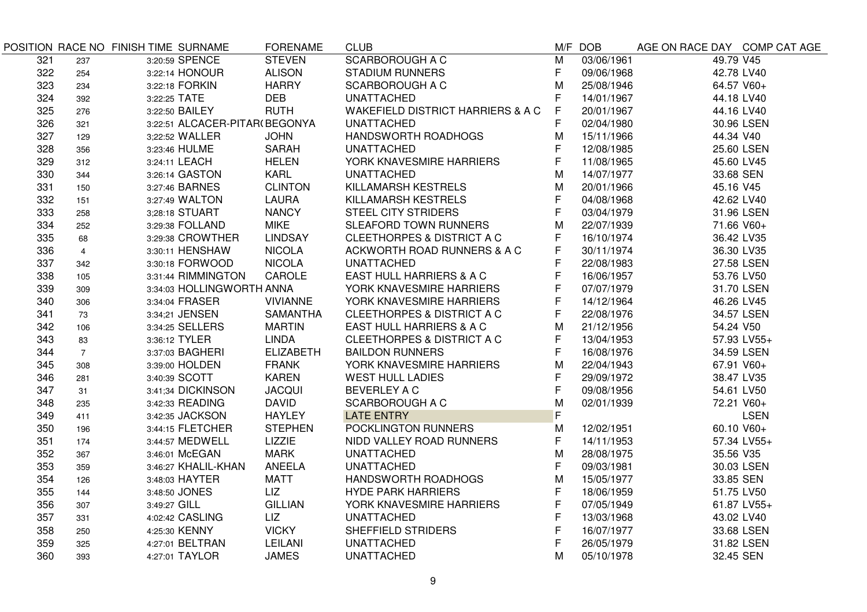|     |                | POSITION RACE NO FINISH TIME SURNAME | <b>FORENAME</b>  | <b>CLUB</b>                                  |   | M/F DOB    | AGE ON RACE DAY COMP CAT AGE |             |
|-----|----------------|--------------------------------------|------------------|----------------------------------------------|---|------------|------------------------------|-------------|
| 321 | 237            | 3:20:59 SPENCE                       | <b>STEVEN</b>    | <b>SCARBOROUGH A C</b>                       | M | 03/06/1961 | 49.79 V45                    |             |
| 322 | 254            | 3:22:14 HONOUR                       | <b>ALISON</b>    | <b>STADIUM RUNNERS</b>                       | F | 09/06/1968 | 42.78 LV40                   |             |
| 323 | 234            | 3:22:18 FORKIN                       | <b>HARRY</b>     | <b>SCARBOROUGH A C</b>                       | M | 25/08/1946 | 64.57 V60+                   |             |
| 324 | 392            | 3:22:25 TATE                         | <b>DEB</b>       | <b>UNATTACHED</b>                            | F | 14/01/1967 | 44.18 LV40                   |             |
| 325 | 276            | 3:22:50 BAILEY                       | <b>RUTH</b>      | <b>WAKEFIELD DISTRICT HARRIERS &amp; A C</b> | F | 20/01/1967 | 44.16 LV40                   |             |
| 326 | 321            | 3:22:51 ALCACER-PITAR(BEGONYA        |                  | <b>UNATTACHED</b>                            | F | 02/04/1980 |                              | 30.96 LSEN  |
| 327 | 129            | 3;22:52 WALLER                       | <b>JOHN</b>      | HANDSWORTH ROADHOGS                          | М | 15/11/1966 | 44.34 V40                    |             |
| 328 | 356            | 3:23:46 HULME                        | <b>SARAH</b>     | <b>UNATTACHED</b>                            | F | 12/08/1985 |                              | 25.60 LSEN  |
| 329 | 312            | 3:24:11 LEACH                        | <b>HELEN</b>     | YORK KNAVESMIRE HARRIERS                     | F | 11/08/1965 | 45.60 LV45                   |             |
| 330 | 344            | 3:26:14 GASTON                       | <b>KARL</b>      | <b>UNATTACHED</b>                            | м | 14/07/1977 | 33.68 SEN                    |             |
| 331 | 150            | 3:27:46 BARNES                       | <b>CLINTON</b>   | KILLAMARSH KESTRELS                          | М | 20/01/1966 | 45.16 V45                    |             |
| 332 | 151            | 3:27:49 WALTON                       | LAURA            | KILLAMARSH KESTRELS                          | F | 04/08/1968 | 42.62 LV40                   |             |
| 333 | 258            | 3;28:18 STUART                       | <b>NANCY</b>     | <b>STEEL CITY STRIDERS</b>                   | F | 03/04/1979 |                              | 31.96 LSEN  |
| 334 | 252            | 3:29:38 FOLLAND                      | <b>MIKE</b>      | SLEAFORD TOWN RUNNERS                        | M | 22/07/1939 | 71.66 V60+                   |             |
| 335 | 68             | 3:29:38 CROWTHER                     | <b>LINDSAY</b>   | <b>CLEETHORPES &amp; DISTRICT A C</b>        | F | 16/10/1974 | 36.42 LV35                   |             |
| 336 | $\overline{4}$ | 3:30:11 HENSHAW                      | <b>NICOLA</b>    | ACKWORTH ROAD RUNNERS & A C                  | F | 30/11/1974 | 36.30 LV35                   |             |
| 337 | 342            | 3:30:18 FORWOOD                      | <b>NICOLA</b>    | <b>UNATTACHED</b>                            |   | 22/08/1983 |                              | 27.58 LSEN  |
| 338 | 105            | 3:31:44 RIMMINGTON                   | CAROLE           | EAST HULL HARRIERS & A C                     | F | 16/06/1957 |                              | 53.76 LV50  |
| 339 | 309            | 3:34:03 HOLLINGWORTH ANNA            |                  | YORK KNAVESMIRE HARRIERS                     | F | 07/07/1979 |                              | 31.70 LSEN  |
| 340 | 306            | 3:34:04 FRASER                       | <b>VIVIANNE</b>  | YORK KNAVESMIRE HARRIERS                     | F | 14/12/1964 |                              | 46.26 LV45  |
| 341 | 73             | 3:34;21 JENSEN                       | <b>SAMANTHA</b>  | CLEETHORPES & DISTRICT A C                   | F | 22/08/1976 |                              | 34.57 LSEN  |
| 342 | 106            | 3:34:25 SELLERS                      | <b>MARTIN</b>    | EAST HULL HARRIERS & A C                     | M | 21/12/1956 | 54.24 V50                    |             |
| 343 | 83             | 3:36:12 TYLER                        | <b>LINDA</b>     | <b>CLEETHORPES &amp; DISTRICT A C</b>        | F | 13/04/1953 |                              | 57.93 LV55+ |
| 344 | $\overline{7}$ | 3:37:03 BAGHERI                      | <b>ELIZABETH</b> | <b>BAILDON RUNNERS</b>                       | F | 16/08/1976 |                              | 34.59 LSEN  |
| 345 | 308            | 3:39:00 HOLDEN                       | <b>FRANK</b>     | YORK KNAVESMIRE HARRIERS                     | M | 22/04/1943 | 67.91 V60+                   |             |
| 346 | 281            | 3:40:39 SCOTT                        | <b>KAREN</b>     | <b>WEST HULL LADIES</b>                      | F | 29/09/1972 | 38.47 LV35                   |             |
| 347 | 31             | 3:41;34 DICKINSON                    | <b>JACQUI</b>    | <b>BEVERLEY A C</b>                          | F | 09/08/1956 | 54.61 LV50                   |             |
| 348 | 235            | 3:42:33 READING                      | <b>DAVID</b>     | <b>SCARBOROUGH A C</b>                       | M | 02/01/1939 |                              | 72.21 V60+  |
| 349 | 411            | 3:42:35 JACKSON                      | <b>HAYLEY</b>    | <b>LATE ENTRY</b>                            | F |            |                              | <b>LSEN</b> |
| 350 | 196            | 3:44:15 FLETCHER                     | <b>STEPHEN</b>   | POCKLINGTON RUNNERS                          | M | 12/02/1951 |                              | 60.10 V60+  |
| 351 | 174            | 3:44:57 MEDWELL                      | LIZZIE           | NIDD VALLEY ROAD RUNNERS                     | F | 14/11/1953 |                              | 57.34 LV55+ |
| 352 | 367            | 3:46:01 McEGAN                       | <b>MARK</b>      | <b>UNATTACHED</b>                            | M | 28/08/1975 | 35.56 V35                    |             |
| 353 | 359            | 3:46:27 KHALIL-KHAN                  | ANEELA           | <b>UNATTACHED</b>                            | F | 09/03/1981 |                              | 30.03 LSEN  |
| 354 | 126            | 3:48:03 HAYTER                       | <b>MATT</b>      | HANDSWORTH ROADHOGS                          | M | 15/05/1977 | 33.85 SEN                    |             |
| 355 | 144            | 3:48:50 JONES                        | LIZ              | <b>HYDE PARK HARRIERS</b>                    | F | 18/06/1959 |                              | 51.75 LV50  |
| 356 | 307            | 3:49:27 GILL                         | <b>GILLIAN</b>   | YORK KNAVESMIRE HARRIERS                     | F | 07/05/1949 |                              | 61.87 LV55+ |
| 357 | 331            | 4:02:42 CASLING                      | LIZ              | <b>UNATTACHED</b>                            | F | 13/03/1968 |                              | 43.02 LV40  |
| 358 | 250            | 4:25:30 KENNY                        | <b>VICKY</b>     | SHEFFIELD STRIDERS                           | F | 16/07/1977 |                              | 33.68 LSEN  |
| 359 | 325            | 4:27:01 BELTRAN                      | LEILANI          | <b>UNATTACHED</b>                            | F | 26/05/1979 |                              | 31.82 LSEN  |
| 360 | 393            | 4:27:01 TAYLOR                       | <b>JAMES</b>     | <b>UNATTACHED</b>                            | М | 05/10/1978 | 32.45 SEN                    |             |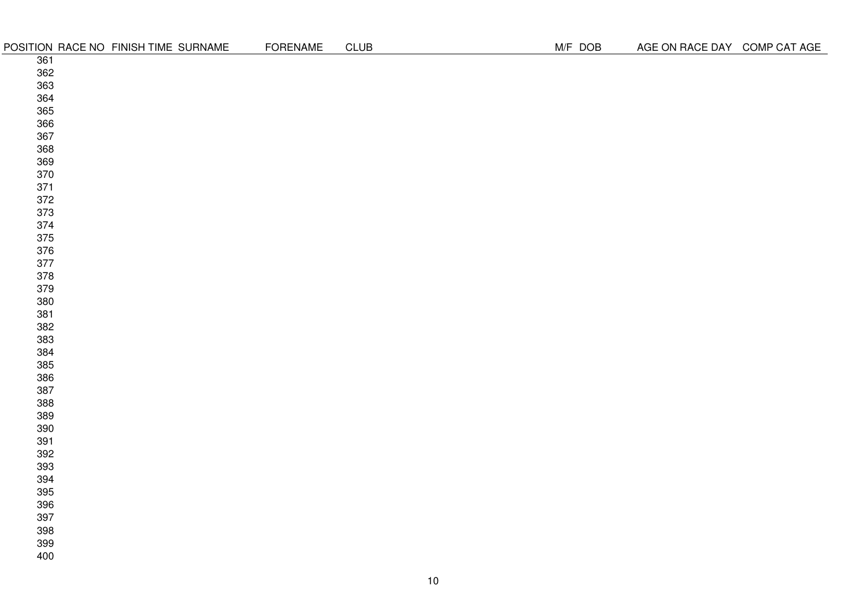|            | POSITION RACE NO FINISH TIME SURNAME | <b>FORENAME</b> | <b>CLUB</b> |    | M/F DOB | AGE ON RACE DAY COMP CAT AGE |  |
|------------|--------------------------------------|-----------------|-------------|----|---------|------------------------------|--|
| 361        |                                      |                 |             |    |         |                              |  |
| 362        |                                      |                 |             |    |         |                              |  |
| 363        |                                      |                 |             |    |         |                              |  |
| 364        |                                      |                 |             |    |         |                              |  |
| 365        |                                      |                 |             |    |         |                              |  |
| 366        |                                      |                 |             |    |         |                              |  |
| 367        |                                      |                 |             |    |         |                              |  |
| 368        |                                      |                 |             |    |         |                              |  |
| 369        |                                      |                 |             |    |         |                              |  |
| 370        |                                      |                 |             |    |         |                              |  |
| 371        |                                      |                 |             |    |         |                              |  |
| 372        |                                      |                 |             |    |         |                              |  |
| 373        |                                      |                 |             |    |         |                              |  |
| 374        |                                      |                 |             |    |         |                              |  |
| 375        |                                      |                 |             |    |         |                              |  |
| 376        |                                      |                 |             |    |         |                              |  |
| 377        |                                      |                 |             |    |         |                              |  |
| 378<br>379 |                                      |                 |             |    |         |                              |  |
| 380        |                                      |                 |             |    |         |                              |  |
| 381        |                                      |                 |             |    |         |                              |  |
| 382        |                                      |                 |             |    |         |                              |  |
| 383        |                                      |                 |             |    |         |                              |  |
| 384        |                                      |                 |             |    |         |                              |  |
| 385        |                                      |                 |             |    |         |                              |  |
| 386        |                                      |                 |             |    |         |                              |  |
| 387        |                                      |                 |             |    |         |                              |  |
| 388        |                                      |                 |             |    |         |                              |  |
| 389        |                                      |                 |             |    |         |                              |  |
| 390        |                                      |                 |             |    |         |                              |  |
| 391        |                                      |                 |             |    |         |                              |  |
| 392        |                                      |                 |             |    |         |                              |  |
| 393        |                                      |                 |             |    |         |                              |  |
| 394        |                                      |                 |             |    |         |                              |  |
| 395        |                                      |                 |             |    |         |                              |  |
| 396        |                                      |                 |             |    |         |                              |  |
| 397        |                                      |                 |             |    |         |                              |  |
| 398        |                                      |                 |             |    |         |                              |  |
| 399        |                                      |                 |             |    |         |                              |  |
| 400        |                                      |                 |             |    |         |                              |  |
|            |                                      |                 |             |    |         |                              |  |
|            |                                      |                 |             | 10 |         |                              |  |